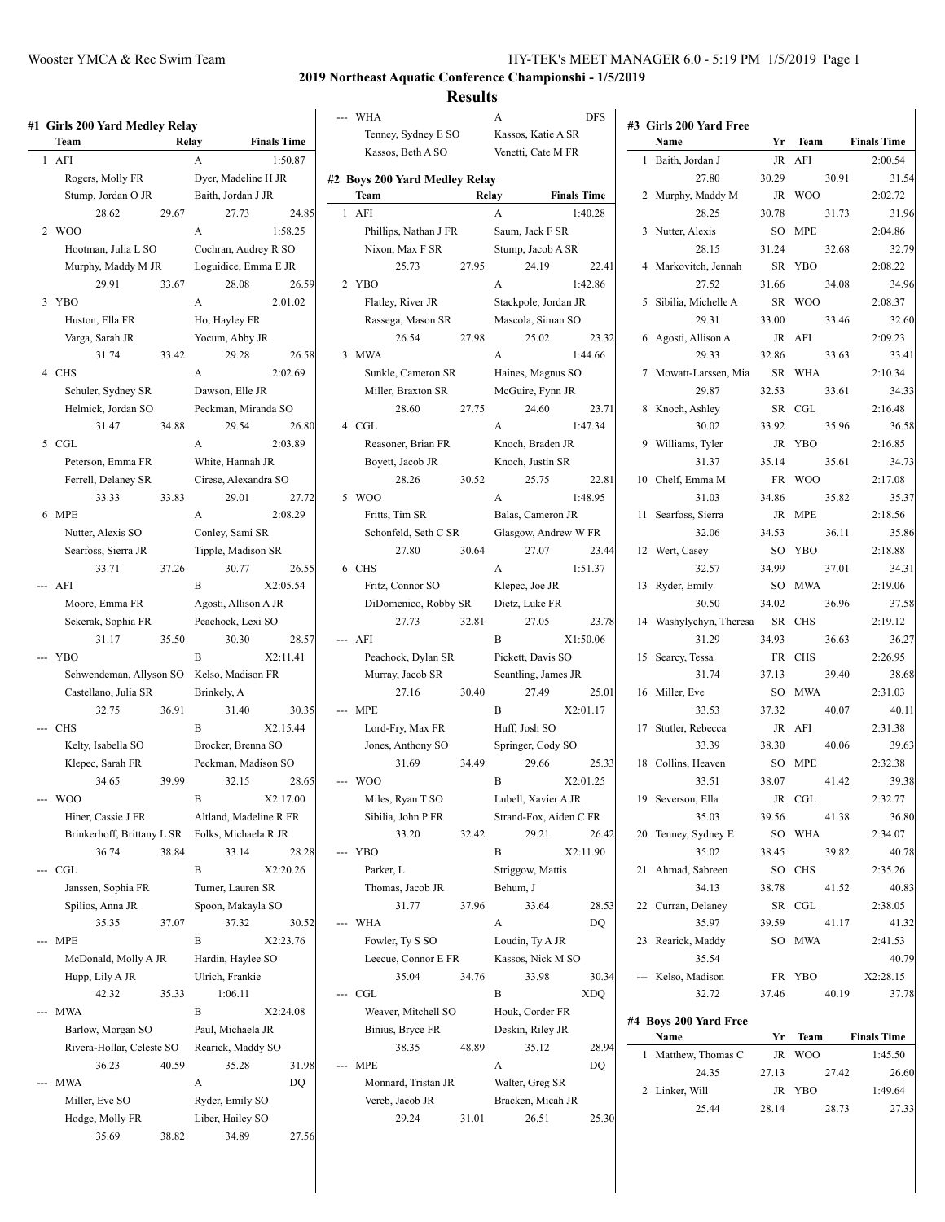| #1 Girls 200 Yard Medley Relay            |       |                              |                    |                | WHA               |                               |       | A                          | <b>DFS</b>         |
|-------------------------------------------|-------|------------------------------|--------------------|----------------|-------------------|-------------------------------|-------|----------------------------|--------------------|
| Team                                      |       | Relay                        | <b>Finals Time</b> |                |                   | Tenney, Sydney E SO           |       | Kassos, Katie A SR         |                    |
| $1$ AFI                                   |       | A                            | 1:50.87            |                |                   | Kassos, Beth A SO             |       | Venetti, Cate M FR         |                    |
| Rogers, Molly FR                          |       | Dyer, Madeline H JR          |                    |                |                   | #2 Boys 200 Yard Medley Relay |       |                            |                    |
| Stump, Jordan O JR                        |       | Baith, Jordan J JR           |                    |                | Team              |                               |       | Relay                      | <b>Finals Time</b> |
| 28.62                                     | 29.67 | 27.73                        | 24.85              |                | 1 AFI             |                               |       | A                          | 1:40.28            |
| 2 WOO                                     |       | A                            | 1:58.25            |                |                   | Phillips, Nathan J FR         |       | Saum, Jack F SR            |                    |
| Hootman, Julia L SO                       |       | Cochran, Audrey R SO         |                    |                |                   | Nixon, Max F SR               |       | Stump, Jacob A SR          |                    |
| Murphy, Maddy M JR                        |       | Loguidice, Emma E JR         |                    |                |                   | 25.73                         | 27.95 | 24.19                      | 22.5               |
| 29.91                                     | 33.67 | 28.08                        | 26.59              |                | 2 YBO             |                               |       | A                          | 1:42.86            |
| 3 YBO                                     |       | А                            | 2:01.02            |                | Flatley, River JR |                               |       | Stackpole, Jordan JR       |                    |
| Huston, Ella FR                           |       | Ho, Hayley FR                |                    |                |                   | Rassega, Mason SR             |       | Mascola, Siman SO          |                    |
| Varga, Sarah JR                           |       | Yocum, Abby JR               |                    |                |                   | 26.54                         | 27.98 | 25.02                      | 23.5               |
| 31.74                                     | 33.42 | 29.28                        | 26.58              |                | 3 MWA             |                               |       | A                          | 1:44.66            |
| 4 CHS                                     |       | A                            | 2:02.69            |                |                   | Sunkle, Cameron SR            |       | Haines, Magnus SO          |                    |
| Schuler, Sydney SR                        |       | Dawson, Elle JR              |                    |                |                   | Miller, Braxton SR            |       | McGuire, Fynn JR           |                    |
| Helmick, Jordan SO                        |       | Peckman, Miranda SO          |                    |                |                   | 28.60                         | 27.75 | 24.60                      | 23.                |
| 31.47                                     | 34.88 | 29.54                        | 26.80              |                | 4 CGL             |                               |       | A                          | 1:47.34            |
| 5 CGL                                     |       | A                            | 2:03.89            |                |                   | Reasoner, Brian FR            |       | Knoch, Braden JR           |                    |
| Peterson, Emma FR                         |       | White, Hannah JR             |                    |                | Boyett, Jacob JR  |                               |       | Knoch, Justin SR           |                    |
| Ferrell, Delaney SR                       |       | Cirese, Alexandra SO         |                    |                |                   | 28.26                         | 30.52 | 25.75                      | 22.5               |
| 33.33                                     | 33.83 | 29.01                        | 27.72              |                | 5 WOO             |                               |       | A                          | 1:48.95            |
| 6 MPE                                     |       | A                            | 2:08.29            |                | Fritts, Tim SR    |                               |       | Balas, Cameron JR          |                    |
| Nutter, Alexis SO                         |       | Conley, Sami SR              |                    |                |                   | Schonfeld, Seth C SR          |       | Glasgow, Andrew W FR       |                    |
| Searfoss, Sierra JR                       |       | Tipple, Madison SR           |                    |                |                   | 27.80                         | 30.64 | 27.07                      | 23.5               |
| 33.71                                     | 37.26 | 30.77                        | 26.55              |                | 6 CHS             |                               |       | A                          | 1:51.37            |
| --- AFI                                   |       | B                            | X2:05.54           |                |                   | Fritz, Connor SO              |       | Klepec, Joe JR             |                    |
| Moore, Emma FR                            |       | Agosti, Allison A JR         |                    |                |                   | DiDomenico, Robby SR          |       | Dietz, Luke FR             |                    |
| Sekerak, Sophia FR                        |       | Peachock, Lexi SO            |                    |                |                   | 27.73                         | 32.81 | 27.05                      | 23.                |
| 31.17                                     | 35.50 | 30.30                        | 28.57              |                | --- AFI           |                               |       | B                          | X1:50.06           |
| --- YBO                                   |       | B                            | X2:11.41           |                |                   | Peachock, Dylan SR            |       | Pickett, Davis SO          |                    |
| Schwendeman, Allyson SO Kelso, Madison FR |       |                              |                    |                |                   | Murray, Jacob SR              |       | Scantling, James JR        |                    |
| Castellano, Julia SR                      |       | Brinkely, A                  |                    |                |                   | 27.16                         | 30.40 | 27.49                      | 25.1               |
| 32.75                                     | 36.91 | 31.40                        | 30.35              |                | --- MPE           |                               |       | B                          | X2:01.17           |
| -- CHS                                    |       | B                            | X2:15.44           |                |                   | Lord-Fry, Max FR              |       | Huff, Josh SO              |                    |
| Kelty, Isabella SO                        |       | Brocker, Brenna SO           |                    |                |                   | Jones, Anthony SO<br>31.69    | 34.49 | Springer, Cody SO<br>29.66 |                    |
| Klepec, Sarah FR<br>34.65                 | 39.99 | Peckman, Madison SO<br>32.15 | 28.65              |                | <b>WOO</b>        |                               |       | B                          | 25.<br>X2:01.25    |
| --- WOO                                   |       | B                            | X2:17.00           |                |                   | Miles, Ryan T SO              |       | Lubell, Xavier A JR        |                    |
| Hiner, Cassie J FR                        |       | Altland, Madeline R FR       |                    |                |                   | Sibilia, John P FR            |       | Strand-Fox, Aiden C FR     |                    |
| Brinkerhoff, Brittany L SR                |       | Folks, Michaela R JR         |                    |                |                   | 33.20                         | 32.42 | 29.21                      | 26.4               |
| 36.74                                     | 38.84 | 33.14                        | 28.28              |                | --- YBO           |                               |       | B                          | X2:11.90           |
| --- CGL                                   |       | B                            | X2:20.26           |                | Parker, L         |                               |       | Striggow, Mattis           |                    |
| Janssen, Sophia FR                        |       | Turner, Lauren SR            |                    |                |                   | Thomas, Jacob JR              |       | Behum, J                   |                    |
| Spilios, Anna JR                          |       | Spoon, Makayla SO            |                    |                |                   | 31.77                         | 37.96 | 33.64                      | 28.                |
| 35.35                                     | 37.07 | 37.32                        | 30.52              | $\overline{a}$ | <b>WHA</b>        |                               |       | A                          | DQ                 |
| --- MPE                                   |       | B                            | X2:23.76           |                | Fowler, Ty S SO   |                               |       | Loudin, Ty A JR            |                    |
| McDonald, Molly A JR                      |       | Hardin, Haylee SO            |                    |                |                   | Leecue, Connor E FR           |       | Kassos, Nick M SO          |                    |
| Hupp, Lily A JR                           |       | Ulrich, Frankie              |                    |                |                   | 35.04                         | 34.76 | 33.98                      | 30.                |
| 42.32                                     | 35.33 | 1:06.11                      |                    | ---            | CGL               |                               |       | B                          | XDQ                |
| <b>MWA</b>                                |       | B                            | X2:24.08           |                |                   | Weaver, Mitchell SO           |       | Houk, Corder FR            |                    |
| Barlow, Morgan SO                         |       | Paul, Michaela JR            |                    |                |                   | Binius, Bryce FR              |       | Deskin, Riley JR           |                    |
| Rivera-Hollar, Celeste SO                 |       | Rearick, Maddy SO            |                    |                |                   | 38.35                         | 48.89 | 35.12                      | 28.                |
| 36.23                                     | 40.59 | 35.28                        | 31.98              | ---            | <b>MPE</b>        |                               |       | А                          | DQ                 |
| MWA                                       |       | A                            | DQ                 |                |                   | Monnard, Tristan JR           |       | Walter, Greg SR            |                    |
| Miller, Eve SO                            |       | Ryder, Emily SO              |                    |                | Vereb, Jacob JR   |                               |       | Bracken, Micah JR          |                    |
| Hodge, Molly FR                           |       | Liber, Hailey SO             |                    |                |                   | 29.24                         | 31.01 | 26.51                      | 25.                |
| 35.69                                     | 38.82 | 34.89                        | 27.56              |                |                   |                               |       |                            |                    |
|                                           |       |                              |                    |                |                   |                               |       |                            |                    |

|   | Tenney, Sydney E SO           |       | Kassos, Katie A SR |                        |          | #3                      |
|---|-------------------------------|-------|--------------------|------------------------|----------|-------------------------|
|   | Kassos, Beth A SO             |       | Venetti, Cate M FR |                        |          |                         |
|   | #2 Boys 200 Yard Medley Relay |       |                    |                        |          |                         |
|   | Team                          | Relay |                    | <b>Finals Time</b>     |          |                         |
| 1 | AFI                           |       | A                  |                        | 1:40.28  |                         |
|   | Phillips, Nathan J FR         |       | Saum, Jack F SR    |                        |          |                         |
|   | Nixon, Max F SR               |       | Stump, Jacob A SR  |                        |          |                         |
|   | 25.73                         | 27.95 |                    | 24.19                  | 22.41    |                         |
| 2 | <b>YBO</b>                    |       | A                  |                        | 1:42.86  |                         |
|   | Flatley, River JR             |       |                    | Stackpole, Jordan JR   |          |                         |
|   | Rassega, Mason SR             |       |                    | Mascola, Siman SO      |          |                         |
|   | 26.54                         | 27.98 |                    | 25.02                  | 23.32    |                         |
| 3 | <b>MWA</b>                    |       | A                  |                        | 1:44.66  |                         |
|   | Sunkle, Cameron SR            |       |                    | Haines, Magnus SO      |          |                         |
|   | Miller, Braxton SR            |       | McGuire, Fynn JR   |                        |          |                         |
|   | 28.60                         | 27.75 |                    | 24.60                  | 23.71    |                         |
|   | 4 CGL                         |       | А                  |                        | 1:47.34  |                         |
|   | Reasoner, Brian FR            |       | Knoch, Braden JR   |                        |          |                         |
|   | Boyett, Jacob JR              |       | Knoch, Justin SR   |                        |          |                         |
|   | 28.26                         | 30.52 |                    | 25.75                  | 22.81    | 1                       |
| 5 | <b>WOO</b>                    |       | A                  |                        | 1:48.95  |                         |
|   | Fritts, Tim SR                |       | Balas, Cameron JR  |                        |          | 1                       |
|   | Schonfeld, Seth C SR          |       |                    | Glasgow, Andrew W FR   |          |                         |
|   | 27.80                         | 30.64 |                    | 27.07                  | 23.44    | 1                       |
| 6 | <b>CHS</b>                    |       | A                  |                        | 1:51.37  |                         |
|   | Fritz, Connor SO              |       | Klepec, Joe JR     |                        |          | 1                       |
|   | DiDomenico, Robby SR          |       | Dietz, Luke FR     |                        |          |                         |
|   | 27.73                         | 32.81 |                    | 27.05                  | 23.78    | 1                       |
|   | AFI                           |       | B                  |                        | X1:50.06 |                         |
|   | Peachock, Dylan SR            |       | Pickett, Davis SO  |                        |          | 1                       |
|   | Murray, Jacob SR              |       |                    | Scantling, James JR    |          |                         |
|   | 27.16                         | 30.40 |                    | 27.49                  | 25.01    | 1                       |
|   | <b>MPE</b>                    |       | В                  |                        | X2:01.17 |                         |
|   | Lord-Fry, Max FR              |       | Huff, Josh SO      |                        |          | 1                       |
|   | Jones, Anthony SO             |       | Springer, Cody SO  |                        |          |                         |
|   | 31.69                         | 34.49 |                    | 29.66                  | 25.33    | 1                       |
|   | <b>WOO</b>                    |       | B                  |                        | X2:01.25 |                         |
|   | Miles, Ryan T SO              |       |                    | Lubell, Xavier A JR    |          | 1                       |
|   | Sibilia, John P FR            |       |                    | Strand-Fox, Aiden C FR |          |                         |
|   | 33.20                         | 32.42 |                    | 29.21                  | 26.42    | $\overline{\mathbf{c}}$ |
|   | <b>YBO</b>                    |       | B                  |                        | X2:11.90 |                         |
|   | Parker, L                     |       | Striggow, Mattis   |                        |          | $\overline{c}$          |
|   | Thomas, Jacob JR              |       | Behum, J           |                        |          |                         |
|   | 31.77                         | 37.96 |                    | 33.64                  | 28.53    | 2                       |
|   | <b>WHA</b>                    |       | A                  |                        | DQ       |                         |
|   | Fowler, Ty S SO               |       | Loudin, Ty A JR    |                        |          | $\overline{\mathbf{c}}$ |
|   | Leecue, Connor E FR           |       |                    | Kassos, Nick M SO      |          |                         |
|   | 35.04                         | 34.76 |                    | 33.98                  | 30.34    |                         |
|   | CGL                           |       | B                  |                        | XDQ      |                         |
|   | Weaver, Mitchell SO           |       | Houk, Corder FR    |                        |          | #4                      |
|   | Binius, Bryce FR              |       | Deskin, Riley JR   |                        |          |                         |
|   | 38.35                         | 48.89 |                    | 35.12                  | 28.94    |                         |
|   | <b>MPE</b>                    |       | A                  |                        | DQ       |                         |
|   | Monnard, Tristan JR           |       | Walter, Greg SR    |                        |          |                         |
|   | Vereb, Jacob JR               |       | Bracken, Micah JR  |                        |          |                         |
|   | 29.24                         | 31.01 |                    | 26.51                  | 25.30    |                         |

|    | #3 Girls 200 Yard Free |           |             |                    |
|----|------------------------|-----------|-------------|--------------------|
|    | Name                   | Yr        | <b>Team</b> | <b>Finals Time</b> |
| 1  | Baith, Jordan J        | <b>JR</b> | AFI         | 2:00.54            |
|    | 27.80                  | 30.29     |             | 31.54<br>30.91     |
|    | 2 Murphy, Maddy M      | JR        | <b>WOO</b>  | 2:02.72            |
|    | 28.25                  | 30.78     |             | 31.96<br>31.73     |
|    |                        | SO        | <b>MPE</b>  | 2:04.86            |
| 3  | Nutter, Alexis         |           |             |                    |
|    | 28.15                  | 31.24     |             | 32.68<br>32.79     |
| 4  | Markovitch, Jennah     | SR        | <b>YBO</b>  | 2:08.22            |
|    | 27.52                  | 31.66     |             | 34.08<br>34.96     |
| 5  | Sibilia, Michelle A    | SR        | <b>WOO</b>  | 2:08.37            |
|    | 29.31                  | 33.00     |             | 32.60<br>33.46     |
| 6  | Agosti, Allison A      | JR        | AFI         | 2:09.23            |
|    | 29.33                  | 32.86     |             | 33.41<br>33.63     |
| 7  | Mowatt-Larssen, Mia    | SR        | <b>WHA</b>  | 2:10.34            |
|    | 29.87                  | 32.53     |             | 33.61<br>34.33     |
| 8  | Knoch, Ashley          | SR        | CGL         | 2:16.48            |
|    | 30.02                  | 33.92     |             | 36.58<br>35.96     |
| 9  | Williams, Tyler        | JR        | <b>YBO</b>  | 2:16.85            |
|    | 31.37                  | 35.14     |             | 35.61<br>34.73     |
|    | 10 Chelf, Emma M       | FR        | <b>WOO</b>  | 2:17.08            |
|    | 31.03                  | 34.86     |             | 35.82<br>35.37     |
| 11 | Searfoss, Sierra       | JR        | MPE         | 2:18.56            |
|    | 32.06                  | 34.53     |             | 36.11<br>35.86     |
| 12 | Wert, Casey            | SO        | <b>YBO</b>  | 2:18.88            |
|    | 32.57                  | 34.99     |             | 37.01<br>34.31     |
| 13 | Ryder, Emily           | SO        | <b>MWA</b>  | 2:19.06            |
|    | 30.50                  | 34.02     |             | 37.58<br>36.96     |
| 14 | Washylychyn, Theresa   | SR        | <b>CHS</b>  | 2:19.12            |
|    | 31.29                  | 34.93     |             | 36.27<br>36.63     |
|    |                        |           |             |                    |
| 15 | Searcy, Tessa          | FR        | <b>CHS</b>  | 2:26.95            |
|    | 31.74                  | 37.13     |             | 39.40<br>38.68     |
| 16 | Miller, Eve            |           | SO MWA      | 2:31.03            |
|    | 33.53                  | 37.32     |             | 40.11<br>40.07     |
| 17 | Stutler, Rebecca       | JR        | AFI         | 2:31.38            |
|    | 33.39                  | 38.30     |             | 39.63<br>40.06     |
| 18 | Collins, Heaven        | SO.       | <b>MPE</b>  | 2:32.38            |
|    | 33.51                  | 38.07     |             | 41.42<br>39.38     |
|    | 19 Severson, Ella      | JR        | CGL         | 2:32.77            |
|    | 35.03                  | 39.56     |             | 41.38<br>36.80     |
|    | 20 Tenney, Sydney E    | SO        | <b>WHA</b>  | 2:34.07            |
|    | 35.02                  | 38.45     |             | 39.82<br>40.78     |
| 21 | Ahmad, Sabreen         | SO.       | <b>CHS</b>  | 2:35.26            |
|    | 34.13                  | 38.78     |             | 41.52<br>40.83     |
|    | 22 Curran, Delaney     | SR        | CGL         | 2:38.05            |
|    | 35.97                  | 39.59     |             | 41.17<br>41.32     |
| 23 | Rearick, Maddy         |           | SO MWA      | 2:41.53            |
|    | 35.54                  |           |             | 40.79              |
|    | --- Kelso, Madison     | FR        | YBO         | X2:28.15           |
|    | 32.72                  | 37.46     |             | 40.19<br>37.78     |
|    |                        |           |             |                    |
|    | #4 Boys 200 Yard Free  |           |             |                    |
|    | Name                   | Yr        | Team        | <b>Finals Time</b> |
| 1  | Matthew, Thomas C      | JR        | <b>WOO</b>  | 1:45.50            |
|    | 24.35                  | 27.13     |             | 27.42<br>26.60     |
| 2  | Linker, Will           | JR        | <b>YBO</b>  | 1:49.64            |
|    | 25.44                  | 28.14     |             | 28.73<br>27.33     |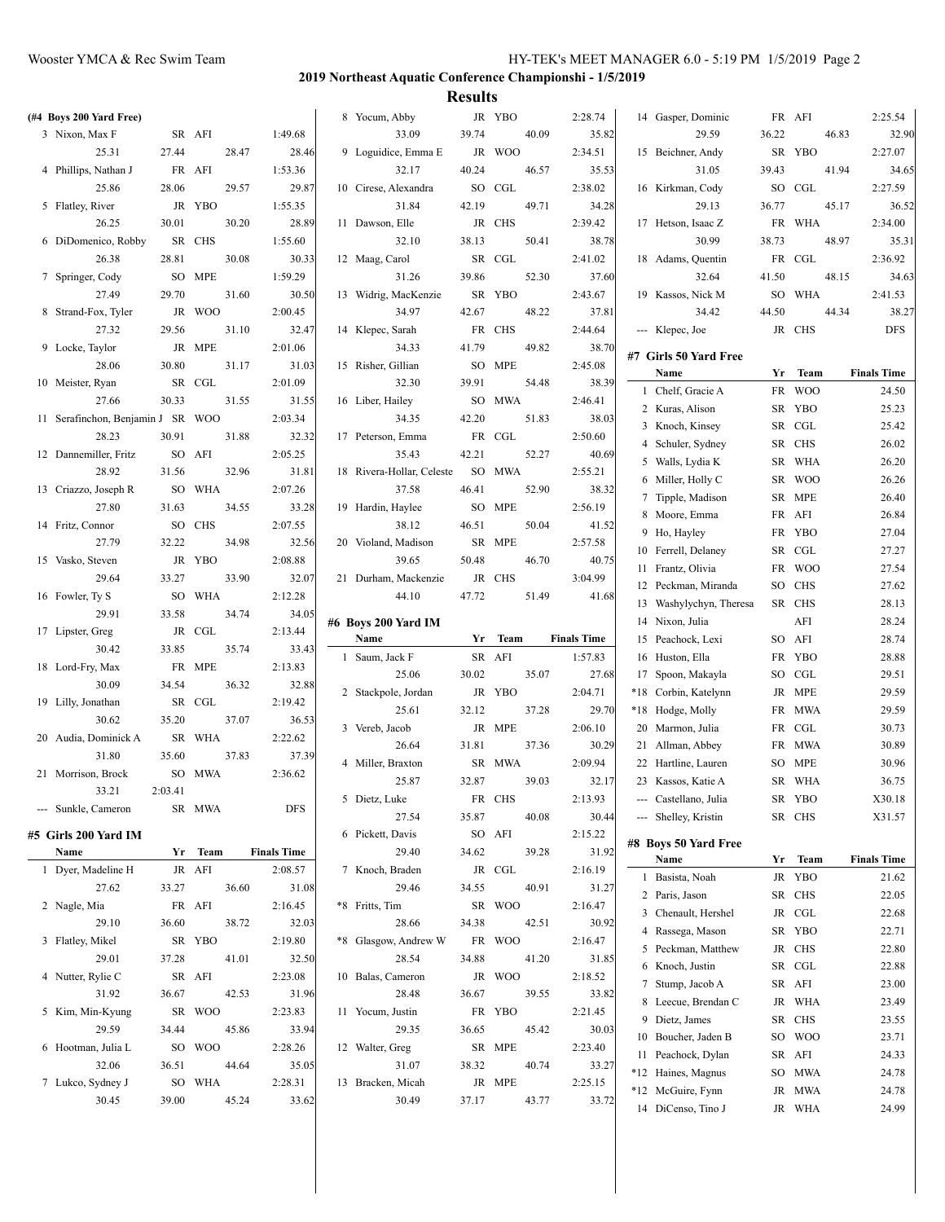| (#4 Boys 200 Yard Free)           |         |         |       |                    | 8 Yocum, Abby                |       | JR YBO |       | 2:28.74            |       | 14 Gasper, Dominic      |       | FR AFI     |       | 2:25.54            |
|-----------------------------------|---------|---------|-------|--------------------|------------------------------|-------|--------|-------|--------------------|-------|-------------------------|-------|------------|-------|--------------------|
| 3 Nixon, Max F                    |         | SR AFI  |       | 1:49.68            | 33.09                        | 39.74 |        | 40.09 | 35.82              |       | 29.59                   | 36.22 |            | 46.83 | 32.90              |
| 25.31                             | 27.44   |         | 28.47 | 28.46              | 9 Loguidice, Emma E          |       | JR WOO |       | 2:34.51            |       | 15 Beichner, Andy       |       | SR YBO     |       | 2:27.07            |
| 4 Phillips, Nathan J              |         | FR AFI  |       | 1:53.36            | 32.17                        | 40.24 |        | 46.57 | 35.53              |       | 31.05                   | 39.43 |            | 41.94 | 34.65              |
| 25.86                             | 28.06   |         | 29.57 | 29.87              | 10 Cirese, Alexandra         |       | SO CGL |       | 2:38.02            |       | 16 Kirkman, Cody        |       | SO CGL     |       | 2:27.59            |
| 5 Flatley, River                  |         | JR YBO  |       | 1:55.35            | 31.84                        | 42.19 |        | 49.71 | 34.28              |       | 29.13                   | 36.77 |            | 45.17 | 36.52              |
| 26.25                             | 30.01   |         | 30.20 | 28.89              | 11 Dawson, Elle              |       | JR CHS |       | 2:39.42            |       | 17 Hetson, Isaac Z      |       | FR WHA     |       | 2:34.00            |
| 6 DiDomenico, Robby               |         | SR CHS  |       | 1:55.60            | 32.10                        | 38.13 |        | 50.41 | 38.78              |       | 30.99                   | 38.73 |            | 48.97 | 35.31              |
| 26.38                             | 28.81   |         | 30.08 | 30.33              | 12 Maag, Carol               |       | SR CGL |       | 2:41.02            |       | 18 Adams, Quentin       |       | FR CGL     |       | 2:36.92            |
| 7 Springer, Cody                  |         | SO MPE  |       | 1:59.29            | 31.26                        | 39.86 |        | 52.30 | 37.60              |       | 32.64                   | 41.50 |            | 48.15 | 34.63              |
| 27.49                             | 29.70   |         | 31.60 | 30.50              | 13 Widrig, MacKenzie         |       | SR YBO |       | 2:43.67            |       | 19 Kassos, Nick M       |       | SO WHA     |       | 2:41.53            |
| 8 Strand-Fox, Tyler               |         | JR WOO  |       | 2:00.45            | 34.97                        | 42.67 |        | 48.22 | 37.81              |       | 34.42                   | 44.50 |            | 44.34 | 38.27              |
| 27.32                             | 29.56   |         | 31.10 | 32.47              | 14 Klepec, Sarah             |       | FR CHS |       | 2:44.64            |       | --- Klepec, Joe         |       | JR CHS     |       | DFS                |
| 9 Locke, Taylor                   |         | JR MPE  |       | 2:01.06            | 34.33                        | 41.79 |        | 49.82 | 38.70              |       |                         |       |            |       |                    |
| 28.06                             | 30.80   |         | 31.17 | 31.03              | 15 Risher, Gillian           |       | SO MPE |       | 2:45.08            |       | #7 Girls 50 Yard Free   |       |            |       |                    |
| 10 Meister, Ryan                  |         | SR CGL  |       | 2:01.09            | 32.30                        | 39.91 |        | 54.48 | 38.39              |       | Name                    |       | Yr Team    |       | <b>Finals Time</b> |
| 27.66                             | 30.33   |         | 31.55 | 31.55              | 16 Liber, Hailey             |       | SO MWA |       | 2:46.41            |       | 1 Chelf, Gracie A       |       | FR WOO     |       | 24.50              |
| 11 Serafinchon, Benjamin J SR WOO |         |         |       | 2:03.34            | 34.35                        | 42.20 |        | 51.83 | 38.03              |       | 2 Kuras, Alison         |       | SR YBO     |       | 25.23              |
| 28.23                             | 30.91   |         | 31.88 | 32.32              | 17 Peterson, Emma            |       | FR CGL |       | 2:50.60            |       | 3 Knoch, Kinsey         |       | SR CGL     |       | 25.42              |
| 12 Dannemiller, Fritz             |         | SO AFI  |       | 2:05.25            | 35.43                        | 42.21 |        | 52.27 | 40.69              |       | 4 Schuler, Sydney       |       | SR CHS     |       | 26.02              |
| 28.92                             | 31.56   |         | 32.96 | 31.81              | 18 Rivera-Hollar, Celeste    |       | SO MWA |       | 2:55.21            |       | 5 Walls, Lydia K        | SR    | <b>WHA</b> |       | 26.20              |
| 13 Criazzo, Joseph R              |         | SO WHA  |       | 2:07.26            | 37.58                        | 46.41 |        | 52.90 | 38.32              |       | 6 Miller, Holly C       | SR    | <b>WOO</b> |       | 26.26              |
| 27.80                             | 31.63   |         | 34.55 | 33.28              | 19 Hardin, Haylee            | SO    | MPE    |       | 2:56.19            |       | 7 Tipple, Madison       |       | SR MPE     |       | 26.40              |
| 14 Fritz, Connor                  |         | SO CHS  |       | 2:07.55            | 38.12                        | 46.51 |        | 50.04 | 41.52              |       | 8 Moore, Emma           |       | FR AFI     |       | 26.84              |
| 27.79                             | 32.22   |         | 34.98 | 32.56              |                              |       | SR MPE |       | 2:57.58            |       | 9 Ho, Hayley            |       | FR YBO     |       | 27.04              |
|                                   |         | JR YBO  |       | 2:08.88            | 20 Violand, Madison<br>39.65 | 50.48 |        | 46.70 | 40.75              |       | 10 Ferrell, Delaney     |       | SR CGL     |       | 27.27              |
| 15 Vasko, Steven                  |         |         |       |                    |                              |       |        |       |                    |       | 11 Frantz, Olivia       |       | FR WOO     |       | 27.54              |
| 29.64                             | 33.27   |         | 33.90 | 32.07              | 21 Durham, Mackenzie         |       | JR CHS |       | 3:04.99            |       | 12 Peckman, Miranda     |       | SO CHS     |       | 27.62              |
| 16 Fowler, Ty S                   |         | SO WHA  |       | 2:12.28            | 44.10                        | 47.72 |        | 51.49 | 41.68              |       | 13 Washylychyn, Theresa |       | SR CHS     |       | 28.13              |
| 29.91                             | 33.58   |         | 34.74 | 34.05              | #6 Boys 200 Yard IM          |       |        |       |                    |       | 14 Nixon, Julia         |       | AFI        |       | 28.24              |
| 17 Lipster, Greg                  |         | JR CGL  |       | 2:13.44            | Name                         | Yr    | Team   |       | <b>Finals Time</b> |       | 15 Peachock, Lexi       |       | SO AFI     |       | 28.74              |
| 30.42                             | 33.85   |         | 35.74 | 33.43              | 1 Saum, Jack F               |       | SR AFI |       | 1:57.83            |       | 16 Huston, Ella         |       | FR YBO     |       | 28.88              |
| 18 Lord-Fry, Max                  |         | FR MPE  |       | 2:13.83            | 25.06                        | 30.02 |        | 35.07 | 27.68              |       | 17 Spoon, Makayla       |       | SO CGL     |       | 29.51              |
| 30.09                             | 34.54   |         | 36.32 | 32.88              | 2 Stackpole, Jordan          |       | JR YBO |       | 2:04.71            | $*18$ | Corbin, Katelynn        |       | JR MPE     |       | 29.59              |
| 19 Lilly, Jonathan                |         | SR CGL  |       | 2:19.42            | 25.61                        | 32.12 |        | 37.28 | 29.70              |       | *18 Hodge, Molly        |       | FR MWA     |       | 29.59              |
| 30.62                             | 35.20   |         | 37.07 | 36.53              | 3 Vereb, Jacob               |       | JR MPE |       | 2:06.10            |       | 20 Marmon, Julia        |       | FR CGL     |       | 30.73              |
| 20 Audia, Dominick A              |         | SR WHA  |       | 2:22.62            | 26.64                        | 31.81 |        | 37.36 | 30.29              |       | 21 Allman, Abbey        |       | FR MWA     |       | 30.89              |
| 31.80                             | 35.60   |         | 37.83 | 37.39              | 4 Miller, Braxton            |       | SR MWA |       | 2:09.94            |       | 22 Hartline, Lauren     |       | SO MPE     |       | 30.96              |
| 21 Morrison, Brock                |         | SO MWA  |       | 2:36.62            | 25.87                        | 32.87 |        | 39.03 | 32.17              |       | 23 Kassos, Katie A      |       | SR WHA     |       | 36.75              |
| 33.21                             | 2:03.41 |         |       |                    | 5 Dietz, Luke                |       | FR CHS |       | 2:13.93            | ---   | Castellano, Julia       |       | SR YBO     |       | X30.18             |
| --- Sunkle, Cameron               |         | SR MWA  |       | <b>DFS</b>         | 27.54                        | 35.87 |        | 40.08 | 30.44              |       | --- Shelley, Kristin    |       | SR CHS     |       | X31.57             |
| #5  Girls 200 Yard IM             |         |         |       |                    | 6 Pickett, Davis             |       | SO AFI |       | 2:15.22            |       |                         |       |            |       |                    |
| Name                              |         | Yr Team |       | <b>Finals Time</b> | 29.40                        | 34.62 |        | 39.28 | 31.92              |       | #8 Boys 50 Yard Free    |       |            |       |                    |
| 1 Dyer, Madeline H                |         | JR AFI  |       | 2:08.57            | 7 Knoch, Braden              |       | JR CGL |       | 2:16.19            |       | Name                    |       | Yr Team    |       | <b>Finals Time</b> |
| 27.62                             | 33.27   |         | 36.60 | 31.08              | 29.46                        | 34.55 |        | 40.91 | 31.27              |       | 1 Basista, Noah         |       | JR YBO     |       | 21.62              |
| 2 Nagle, Mia                      |         | FR AFI  |       | 2:16.45            | *8 Fritts, Tim               |       | SR WOO |       | 2:16.47            |       | 2 Paris, Jason          |       | SR CHS     |       | 22.05              |
| 29.10                             | 36.60   |         | 38.72 | 32.03              | 28.66                        | 34.38 |        | 42.51 | 30.92              |       | 3 Chenault, Hershel     |       | JR CGL     |       | 22.68              |
|                                   |         | SR YBO  |       |                    |                              |       | FR WOO |       |                    |       | 4 Rassega, Mason        |       | SR YBO     |       | 22.71              |
| 3 Flatley, Mikel                  |         |         |       | 2:19.80            | *8 Glasgow, Andrew W         |       |        |       | 2:16.47            |       | 5 Peckman, Matthew      |       | JR CHS     |       | 22.80              |
| 29.01                             | 37.28   |         | 41.01 | 32.50              | 28.54                        | 34.88 |        | 41.20 | 31.85              |       | 6 Knoch, Justin         |       | SR CGL     |       | 22.88              |
| 4 Nutter, Rylie C                 |         | SR AFI  |       | 2:23.08            | 10 Balas, Cameron            |       | JR WOO |       | 2:18.52            |       | 7 Stump, Jacob A        |       | SR AFI     |       | 23.00              |
| 31.92                             | 36.67   |         | 42.53 | 31.96              | 28.48                        | 36.67 |        | 39.55 | 33.82              |       | 8 Leecue, Brendan C     |       | JR WHA     |       | 23.49              |
| 5 Kim, Min-Kyung                  |         | SR WOO  |       | 2:23.83            | 11 Yocum, Justin             |       | FR YBO |       | 2:21.45            |       | 9 Dietz, James          |       | SR CHS     |       | 23.55              |
| 29.59                             | 34.44   |         | 45.86 | 33.94              | 29.35                        | 36.65 |        | 45.42 | 30.03              |       | 10 Boucher, Jaden B     |       | SO WOO     |       | 23.71              |
| 6 Hootman, Julia L                |         | SO WOO  |       | 2:28.26            | 12 Walter, Greg              |       | SR MPE |       | 2:23.40            |       | 11 Peachock, Dylan      |       | SR AFI     |       | 24.33              |
| 32.06                             | 36.51   |         | 44.64 | 35.05              | 31.07                        | 38.32 |        | 40.74 | 33.27              |       | *12 Haines, Magnus      |       | SO MWA     |       | 24.78              |
| 7 Lukco, Sydney J                 |         | SO WHA  |       | 2:28.31            | 13 Bracken, Micah            |       | JR MPE |       | 2:25.15            |       | *12 McGuire, Fynn       |       | JR MWA     |       | 24.78              |
| 30.45                             | 39.00   |         | 45.24 | 33.62              | 30.49                        | 37.17 |        | 43.77 | 33.72              |       | 14 DiCenso, Tino J      |       | JR WHA     |       | 24.99              |
|                                   |         |         |       |                    |                              |       |        |       |                    |       |                         |       |            |       |                    |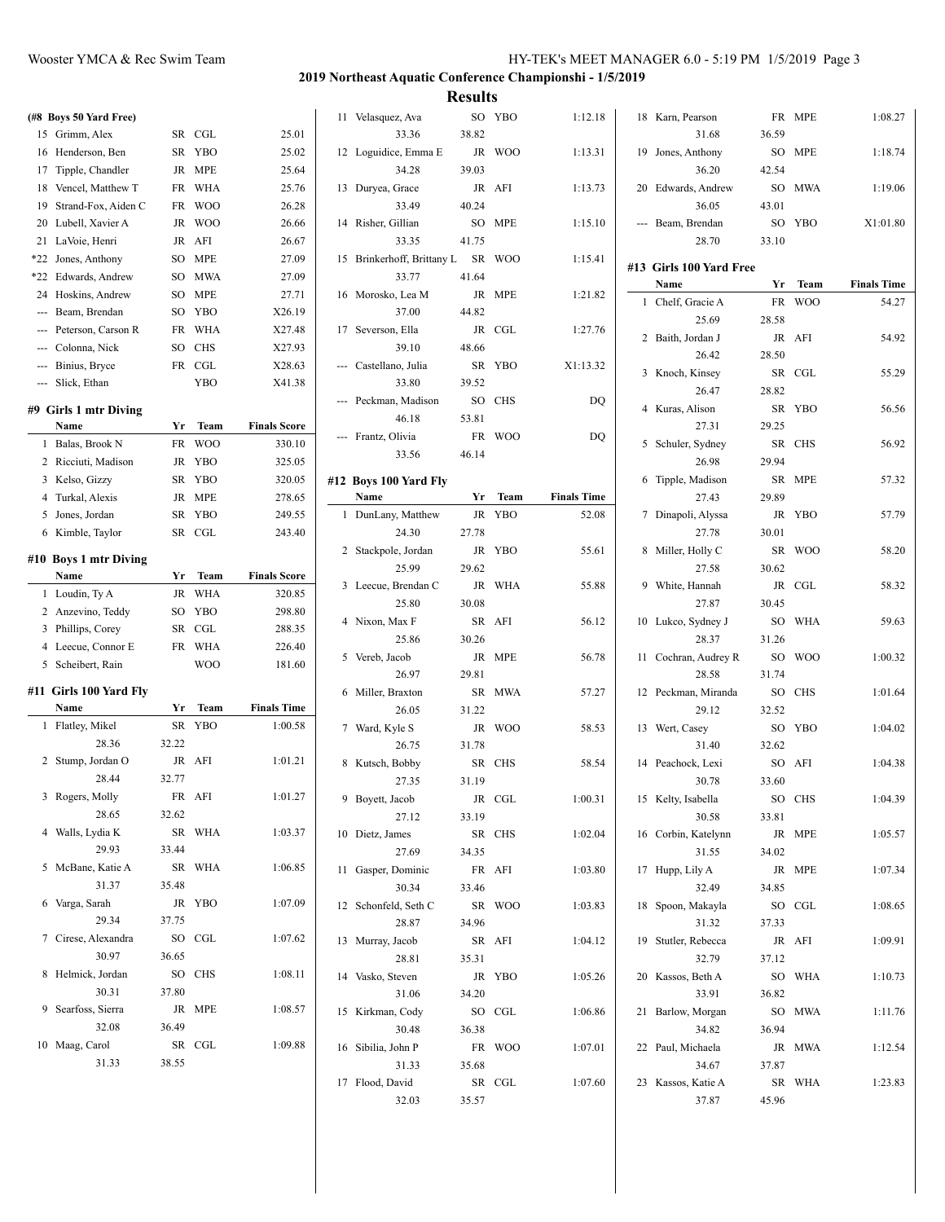| (#8 Boys 50 Yard Free)  |       |            |                     | 11 Velasquez, Ava          |       | SO YBO  | 1:12.18            | 18 Karn, Pearson        |       | FR MPE  | 1:08.27            |
|-------------------------|-------|------------|---------------------|----------------------------|-------|---------|--------------------|-------------------------|-------|---------|--------------------|
| 15 Grimm, Alex          |       | SR CGL     | 25.01               | 33.36                      | 38.82 |         |                    | 31.68                   | 36.59 |         |                    |
| 16 Henderson, Ben       |       | SR YBO     | 25.02               | 12 Loguidice, Emma E       |       | JR WOO  | 1:13.31            | 19 Jones, Anthony       |       | SO MPE  | 1:18.74            |
| 17 Tipple, Chandler     |       | JR MPE     | 25.64               | 34.28                      | 39.03 |         |                    | 36.20                   | 42.54 |         |                    |
| 18 Vencel, Matthew T    |       | FR WHA     | 25.76               | 13 Duryea, Grace           |       | JR AFI  | 1:13.73            | 20 Edwards, Andrew      |       | SO MWA  | 1:19.06            |
| 19 Strand-Fox, Aiden C  |       | FR WOO     | 26.28               | 33.49                      | 40.24 |         |                    | 36.05                   | 43.01 |         |                    |
| 20 Lubell, Xavier A     |       | JR WOO     | 26.66               | 14 Risher, Gillian         |       | SO MPE  | 1:15.10            | --- Beam, Brendan       |       | SO YBO  | X1:01.80           |
| 21 LaVoie, Henri        |       | JR AFI     | 26.67               | 33.35                      | 41.75 |         |                    | 28.70                   | 33.10 |         |                    |
| *22 Jones, Anthony      |       | SO MPE     | 27.09               | 15 Brinkerhoff, Brittany L |       | SR WOO  | 1:15.41            |                         |       |         |                    |
| *22 Edwards, Andrew     |       | SO MWA     | 27.09               | 33.77                      | 41.64 |         |                    | #13 Girls 100 Yard Free |       |         |                    |
| 24 Hoskins, Andrew      |       | SO MPE     | 27.71               | 16 Morosko, Lea M          |       | JR MPE  | 1:21.82            | Name                    |       | Yr Team | <b>Finals Time</b> |
| --- Beam, Brendan       |       | SO YBO     | X26.19              | 37.00                      | 44.82 |         |                    | 1 Chelf, Gracie A       |       | FR WOO  | 54.27              |
| Peterson, Carson R      |       | FR WHA     | X27.48              | 17 Severson, Ella          |       | JR CGL  | 1:27.76            | 25.69                   | 28.58 |         |                    |
| --- Colonna, Nick       |       | SO CHS     | X27.93              | 39.10                      | 48.66 |         |                    | 2 Baith, Jordan J       |       | JR AFI  | 54.92              |
| --- Binius, Bryce       |       | FR CGL     | X28.63              | --- Castellano, Julia      |       | SR YBO  | X1:13.32           | 26.42                   | 28.50 |         |                    |
| --- Slick, Ethan        |       | <b>YBO</b> | X41.38              | 33.80                      | 39.52 |         |                    | 3 Knoch, Kinsey         |       | SR CGL  | 55.29              |
|                         |       |            |                     | --- Peckman, Madison       |       | SO CHS  | DQ                 | 26.47                   | 28.82 |         |                    |
| #9 Girls 1 mtr Diving   |       |            |                     | 46.18                      | 53.81 |         |                    | 4 Kuras, Alison         |       | SR YBO  | 56.56              |
| Name                    | Yr    | Team       | <b>Finals Score</b> |                            |       |         |                    | 27.31                   | 29.25 |         |                    |
| 1 Balas, Brook N        |       | FR WOO     | 330.10              | --- Frantz, Olivia         |       | FR WOO  | DQ                 | 5 Schuler, Sydney       |       | SR CHS  | 56.92              |
| 2 Ricciuti, Madison     |       | JR YBO     | 325.05              | 33.56                      | 46.14 |         |                    | 26.98                   | 29.94 |         |                    |
| 3 Kelso, Gizzy          |       | SR YBO     | 320.05              | #12 Boys 100 Yard Fly      |       |         |                    | 6 Tipple, Madison       |       | SR MPE  | 57.32              |
| 4 Turkal, Alexis        |       | JR MPE     | 278.65              | Name                       |       | Yr Team | <b>Finals Time</b> | 27.43                   | 29.89 |         |                    |
| 5 Jones, Jordan         |       | SR YBO     | 249.55              | 1 DunLany, Matthew         |       | JR YBO  | 52.08              | 7 Dinapoli, Alyssa      |       | JR YBO  | 57.79              |
| 6 Kimble, Taylor        |       | SR CGL     | 243.40              | 24.30                      | 27.78 |         |                    | 27.78                   | 30.01 |         |                    |
|                         |       |            |                     | 2 Stackpole, Jordan        |       | JR YBO  | 55.61              | 8 Miller, Holly C       |       | SR WOO  | 58.20              |
| #10 Boys 1 mtr Diving   |       |            |                     | 25.99                      | 29.62 |         |                    | 27.58                   | 30.62 |         |                    |
| Name                    |       | Yr Team    | <b>Finals Score</b> | 3 Leecue, Brendan C        |       | JR WHA  | 55.88              | 9 White, Hannah         |       | JR CGL  | 58.32              |
| 1 Loudin, Ty A          |       | JR WHA     | 320.85              | 25.80                      | 30.08 |         |                    | 27.87                   | 30.45 |         |                    |
| 2 Anzevino, Teddy       |       | SO YBO     | 298.80              | 4 Nixon, Max F             |       | SR AFI  | 56.12              | 10 Lukco, Sydney J      |       | SO WHA  | 59.63              |
| 3 Phillips, Corey       |       | SR CGL     | 288.35              | 25.86                      | 30.26 |         |                    | 28.37                   | 31.26 |         |                    |
| 4 Leecue, Connor E      |       | FR WHA     | 226.40              | 5 Vereb, Jacob             |       | JR MPE  | 56.78              | 11 Cochran, Audrey R    |       | SO WOO  | 1:00.32            |
| 5 Scheibert, Rain       |       | <b>WOO</b> | 181.60              | 26.97                      | 29.81 |         |                    | 28.58                   | 31.74 |         |                    |
| #11  Girls 100 Yard Fly |       |            |                     | 6 Miller, Braxton          |       | SR MWA  | 57.27              |                         |       | SO CHS  |                    |
| Name                    |       | Yr Team    | <b>Finals Time</b>  |                            |       |         |                    | 12 Peckman, Miranda     |       |         | 1:01.64            |
| 1 Flatley, Mikel        |       | SR YBO     | 1:00.58             | 26.05                      | 31.22 |         |                    | 29.12                   | 32.52 |         |                    |
| 28.36                   | 32.22 |            |                     | 7 Ward, Kyle S             |       | JR WOO  | 58.53              | 13 Wert, Casey          |       | SO YBO  | 1:04.02            |
|                         |       | JR AFI     | 1:01.21             | 26.75                      | 31.78 |         |                    | 31.40                   | 32.62 |         |                    |
| 2 Stump, Jordan O       |       |            |                     | 8 Kutsch, Bobby            |       | SR CHS  | 58.54              | 14 Peachock, Lexi       |       | SO AFI  | 1:04.38            |
| 28.44                   | 32.77 |            |                     | 27.35                      | 31.19 |         |                    | 30.78                   | 33.60 |         |                    |
| 3 Rogers, Molly         |       | FR AFI     | 1:01.27             | 9 Boyett, Jacob            |       | JR CGL  | 1:00.31            | 15 Kelty, Isabella      |       | SO CHS  | 1:04.39            |
| 28.65                   | 32.62 |            |                     | 27.12                      | 33.19 |         |                    | 30.58                   | 33.81 |         |                    |
| 4 Walls, Lydia K        |       | SR WHA     | 1:03.37             | 10 Dietz, James            |       | SR CHS  | 1:02.04            | 16 Corbin, Katelynn     |       | JR MPE  | 1:05.57            |
| 29.93                   | 33.44 |            |                     | 27.69                      | 34.35 |         |                    | 31.55                   | 34.02 |         |                    |
| 5 McBane, Katie A       |       | SR WHA     | 1:06.85             | 11 Gasper, Dominic         |       | FR AFI  | 1:03.80            | 17 Hupp, Lily A         |       | JR MPE  | 1:07.34            |
| 31.37                   | 35.48 |            |                     | 30.34                      | 33.46 |         |                    | 32.49                   | 34.85 |         |                    |
| 6 Varga, Sarah          |       | JR YBO     | 1:07.09             | 12 Schonfeld, Seth C       |       | SR WOO  | 1:03.83            | 18 Spoon, Makayla       |       | SO CGL  | 1:08.65            |
| 29.34                   | 37.75 |            |                     | 28.87                      | 34.96 |         |                    | 31.32                   | 37.33 |         |                    |
| 7 Cirese, Alexandra     |       | SO CGL     | 1:07.62             | 13 Murray, Jacob           |       | SR AFI  | 1:04.12            | 19 Stutler, Rebecca     |       | JR AFI  | 1:09.91            |
| 30.97                   | 36.65 |            |                     | 28.81                      | 35.31 |         |                    | 32.79                   | 37.12 |         |                    |
| 8 Helmick, Jordan       |       | SO CHS     | 1:08.11             | 14 Vasko, Steven           |       | JR YBO  | 1:05.26            | 20 Kassos, Beth A       |       | SO WHA  | 1:10.73            |
| 30.31                   | 37.80 |            |                     | 31.06                      | 34.20 |         |                    | 33.91                   | 36.82 |         |                    |
| 9 Searfoss, Sierra      |       | JR MPE     | 1:08.57             | 15 Kirkman, Cody           |       | SO CGL  | 1:06.86            | 21 Barlow, Morgan       |       | SO MWA  | 1:11.76            |
| 32.08                   | 36.49 |            |                     | 30.48                      | 36.38 |         |                    | 34.82                   | 36.94 |         |                    |
| 10 Maag, Carol          |       | SR CGL     | 1:09.88             | 16 Sibilia, John P         |       | FR WOO  | 1:07.01            | 22 Paul, Michaela       |       | JR MWA  | 1:12.54            |
| 31.33                   | 38.55 |            |                     | 31.33                      | 35.68 |         |                    | 34.67                   | 37.87 |         |                    |
|                         |       |            |                     | 17 Flood, David            |       | SR CGL  | 1:07.60            | 23 Kassos, Katie A      |       | SR WHA  | 1:23.83            |
|                         |       |            |                     | 32.03                      | 35.57 |         |                    | 37.87                   | 45.96 |         |                    |
|                         |       |            |                     |                            |       |         |                    |                         |       |         |                    |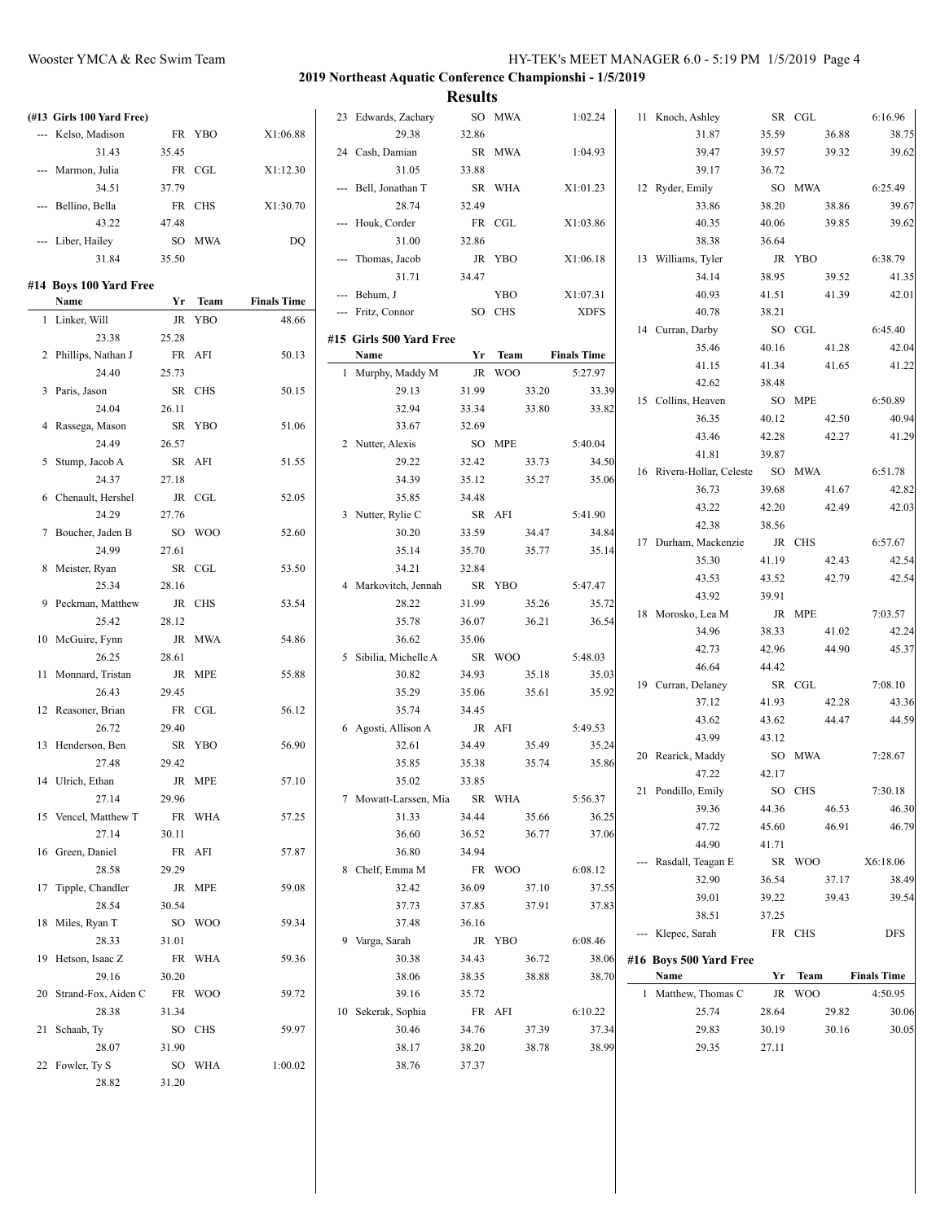| (#13 Girls 100 Yard Free) |       |         |                    | 23 Edwards, Zachary          |       | SO MWA     |       | 1:02.24            | 11 Knoch, Ashley          |                | SR CGL  |       | 6:16.96            |
|---------------------------|-------|---------|--------------------|------------------------------|-------|------------|-------|--------------------|---------------------------|----------------|---------|-------|--------------------|
| --- Kelso, Madison        |       | FR YBO  | X1:06.88           | 29.38                        | 32.86 |            |       |                    | 31.87                     | 35.59          |         | 36.88 | 38.75              |
| 31.43                     | 35.45 |         |                    | 24 Cash, Damian              |       | SR MWA     |       | 1:04.93            | 39.47                     | 39.57          |         | 39.32 | 39.62              |
| --- Marmon, Julia         |       | FR CGL  | X1:12.30           | 31.05                        | 33.88 |            |       |                    | 39.17                     | 36.72          |         |       |                    |
| 34.51                     | 37.79 |         |                    | --- Bell, Jonathan T         |       | SR WHA     |       | X1:01.23           | 12 Ryder, Emily           |                | SO MWA  |       | 6:25.49            |
| --- Bellino, Bella        |       | FR CHS  | X1:30.70           | 28.74                        | 32.49 |            |       |                    | 33.86                     | 38.20          |         | 38.86 | 39.67              |
| 43.22                     | 47.48 |         |                    | --- Houk, Corder             |       | FR CGL     |       | X1:03.86           | 40.35                     | 40.06          |         | 39.85 | 39.62              |
| --- Liber, Hailey         |       | SO MWA  | DQ                 | 31.00                        | 32.86 |            |       |                    | 38.38                     | 36.64          |         |       |                    |
| 31.84                     | 35.50 |         |                    | --- Thomas, Jacob            |       | JR YBO     |       | X1:06.18           | 13 Williams, Tyler        |                | JR YBO  |       | 6:38.79            |
|                           |       |         |                    | 31.71                        | 34.47 |            |       |                    | 34.14                     | 38.95          |         | 39.52 | 41.35              |
| #14 Boys 100 Yard Free    |       |         |                    | --- Behum, J                 |       | <b>YBO</b> |       | X1:07.31           | 40.93                     | 41.51          |         | 41.39 | 42.01              |
| Name                      |       | Yr Team | <b>Finals Time</b> | --- Fritz, Connor            |       | SO CHS     |       | <b>XDFS</b>        | 40.78                     | 38.21          |         |       |                    |
| 1 Linker, Will            |       | JR YBO  | 48.66              |                              |       |            |       |                    | 14 Curran, Darby          |                | SO CGL  |       | 6:45.40            |
| 23.38                     | 25.28 |         |                    | #15 Girls 500 Yard Free      |       |            |       |                    | 35.46                     | 40.16          |         | 41.28 | 42.04              |
| 2 Phillips, Nathan J      |       | FR AFI  | 50.13              | Name                         |       | Yr Team    |       | <b>Finals Time</b> | 41.15                     | 41.34          |         | 41.65 | 41.22              |
| 24.40                     | 25.73 |         |                    | 1 Murphy, Maddy M            |       | JR WOO     |       | 5:27.97            | 42.62                     | 38.48          |         |       |                    |
| 3 Paris, Jason            |       | SR CHS  | 50.15              | 29.13                        | 31.99 |            | 33.20 | 33.39              | 15 Collins, Heaven        |                | SO MPE  |       | 6:50.89            |
| 24.04                     | 26.11 |         |                    | 32.94                        | 33.34 |            | 33.80 | 33.82              | 36.35                     | 40.12          |         | 42.50 | 40.94              |
| 4 Rassega, Mason          |       | SR YBO  | 51.06              | 33.67                        | 32.69 |            |       |                    | 43.46                     | 42.28          |         | 42.27 | 41.29              |
| 24.49                     | 26.57 |         |                    | 2 Nutter, Alexis             |       | SO MPE     |       | 5:40.04            | 41.81                     | 39.87          |         |       |                    |
| 5 Stump, Jacob A          |       | SR AFI  | 51.55              | 29.22                        | 32.42 |            | 33.73 | 34.50              | 16 Rivera-Hollar, Celeste |                | SO MWA  |       | 6:51.78            |
| 24.37                     | 27.18 |         |                    | 34.39                        | 35.12 |            | 35.27 | 35.06              | 36.73                     | 39.68          |         | 41.67 | 42.82              |
| 6 Chenault, Hershel       |       | JR CGL  | 52.05              | 35.85                        | 34.48 |            |       |                    | 43.22                     | 42.20          |         | 42.49 | 42.03              |
| 24.29                     | 27.76 |         |                    | 3 Nutter, Rylie C            |       | SR AFI     |       | 5:41.90            | 42.38                     | 38.56          |         |       |                    |
| 7 Boucher, Jaden B        |       | SO WOO  | 52.60              | 30.20                        | 33.59 |            | 34.47 | 34.84              | 17 Durham, Mackenzie      |                | JR CHS  |       | 6:57.67            |
| 24.99                     | 27.61 |         |                    | 35.14                        | 35.70 |            | 35.77 | 35.14              | 35.30                     | 41.19          |         | 42.43 | 42.54              |
| 8 Meister, Ryan           |       | SR CGL  | 53.50              | 34.21                        | 32.84 |            |       |                    |                           |                |         |       |                    |
| 25.34                     | 28.16 |         |                    | 4 Markovitch, Jennah         |       | SR YBO     |       | 5:47.47            | 43.53                     | 43.52          |         | 42.79 | 42.54              |
| 9 Peckman, Matthew        |       | JR CHS  | 53.54              | 28.22                        | 31.99 |            | 35.26 | 35.72              | 43.92                     | 39.91          |         |       |                    |
| 25.42                     | 28.12 |         |                    | 35.78                        | 36.07 |            | 36.21 | 36.54              | 18 Morosko, Lea M         |                | JR MPE  |       | 7:03.57            |
| 10 McGuire, Fynn          |       | JR MWA  | 54.86              | 36.62                        | 35.06 |            |       |                    | 34.96                     | 38.33          |         | 41.02 | 42.24              |
| 26.25                     | 28.61 |         |                    | 5 Sibilia, Michelle A        |       | SR WOO     |       | 5:48.03            | 42.73                     | 42.96          |         | 44.90 | 45.37              |
| 11 Monnard, Tristan       |       | JR MPE  | 55.88              | 30.82                        | 34.93 |            | 35.18 | 35.03              | 46.64                     | 44.42          |         |       |                    |
| 26.43                     | 29.45 |         |                    | 35.29                        | 35.06 |            | 35.61 | 35.92              | 19 Curran, Delaney        |                | SR CGL  |       | 7:08.10            |
| 12 Reasoner, Brian        |       | FR CGL  | 56.12              | 35.74                        | 34.45 |            |       |                    | 37.12                     | 41.93          |         | 42.28 | 43.36              |
| 26.72                     | 29.40 |         |                    | 6 Agosti, Allison A          |       | JR AFI     |       | 5:49.53            | 43.62                     | 43.62          |         | 44.47 | 44.59              |
| 13 Henderson, Ben         |       | SR YBO  | 56.90              | 32.61                        | 34.49 |            | 35.49 | 35.24              | 43.99                     | 43.12          |         |       |                    |
| 27.48                     | 29.42 |         |                    | 35.85                        | 35.38 |            | 35.74 | 35.86              | 20 Rearick, Maddy         |                | SO MWA  |       | 7:28.67            |
| 14 Ulrich, Ethan          |       | JR MPE  | 57.10              | 35.02                        | 33.85 |            |       |                    | 47.22                     | 42.17          |         |       |                    |
| 27.14                     | 29.96 |         |                    | 7 Mowatt-Larssen, Mia SR WHA |       |            |       | 5:56.37            | 21 Pondillo, Emily        |                | SO CHS  |       | 7:30.18            |
| 15 Vencel, Matthew T      |       | FR WHA  | 57.25              | 31.33                        | 34.44 |            | 35.66 | 36.25              | 39.36                     | 44.36          |         | 46.53 | 46.30              |
| 27.14                     | 30.11 |         |                    | 36.60                        | 36.52 |            | 36.77 | 37.06              | 47.72                     | 45.60          |         | 46.91 | 46.79              |
| 16 Green, Daniel          |       | FR AFI  | 57.87              | 36.80                        | 34.94 |            |       |                    | 44.90                     | 41.71          |         |       |                    |
| 28.58                     | 29.29 |         |                    | 8 Chelf, Emma M              |       | FR WOO     |       | 6:08.12            | --- Rasdall, Teagan E     |                | SR WOO  |       | X6:18.06           |
| 17 Tipple, Chandler       |       | JR MPE  | 59.08              | 32.42                        | 36.09 |            | 37.10 | 37.55              | 32.90                     | 36.54          |         | 37.17 | 38.49              |
| 28.54                     | 30.54 |         |                    | 37.73                        | 37.85 |            | 37.91 | 37.83              | 39.01                     | 39.22          |         | 39.43 | 39.54              |
| 18 Miles, Ryan T          |       | SO WOO  | 59.34              | 37.48                        | 36.16 |            |       |                    | 38.51                     | 37.25          |         |       |                    |
| 28.33                     | 31.01 |         |                    | 9 Varga, Sarah               |       | JR YBO     |       | 6:08.46            | --- Klepec, Sarah         |                | FR CHS  |       | DFS                |
| 19 Hetson, Isaac Z        |       | FR WHA  | 59.36              | 30.38                        | 34.43 |            | 36.72 | 38.06              | #16 Boys 500 Yard Free    |                |         |       |                    |
| 29.16                     | 30.20 |         |                    | 38.06                        | 38.35 |            | 38.88 | 38.70              | Name                      |                | Yr Team |       | <b>Finals Time</b> |
| 20 Strand-Fox, Aiden C    |       | FR WOO  | 59.72              | 39.16                        | 35.72 |            |       |                    | 1 Matthew, Thomas C       |                | JR WOO  |       | 4:50.95            |
| 28.38                     | 31.34 |         |                    | 10 Sekerak, Sophia           |       | FR AFI     |       | 6:10.22            | 25.74                     |                |         | 29.82 | 30.06              |
| 21 Schaab, Ty             |       | SO CHS  | 59.97              | 30.46                        | 34.76 |            | 37.39 | 37.34              | 29.83                     | 28.64<br>30.19 |         | 30.16 | 30.05              |
| 28.07                     |       |         |                    | 38.17                        |       |            | 38.78 | 38.99              | 29.35                     | 27.11          |         |       |                    |
|                           | 31.90 |         |                    |                              | 38.20 |            |       |                    |                           |                |         |       |                    |
| 22 Fowler, Ty S           |       | SO WHA  | 1:00.02            | 38.76                        | 37.37 |            |       |                    |                           |                |         |       |                    |
| 28.82                     | 31.20 |         |                    |                              |       |            |       |                    |                           |                |         |       |                    |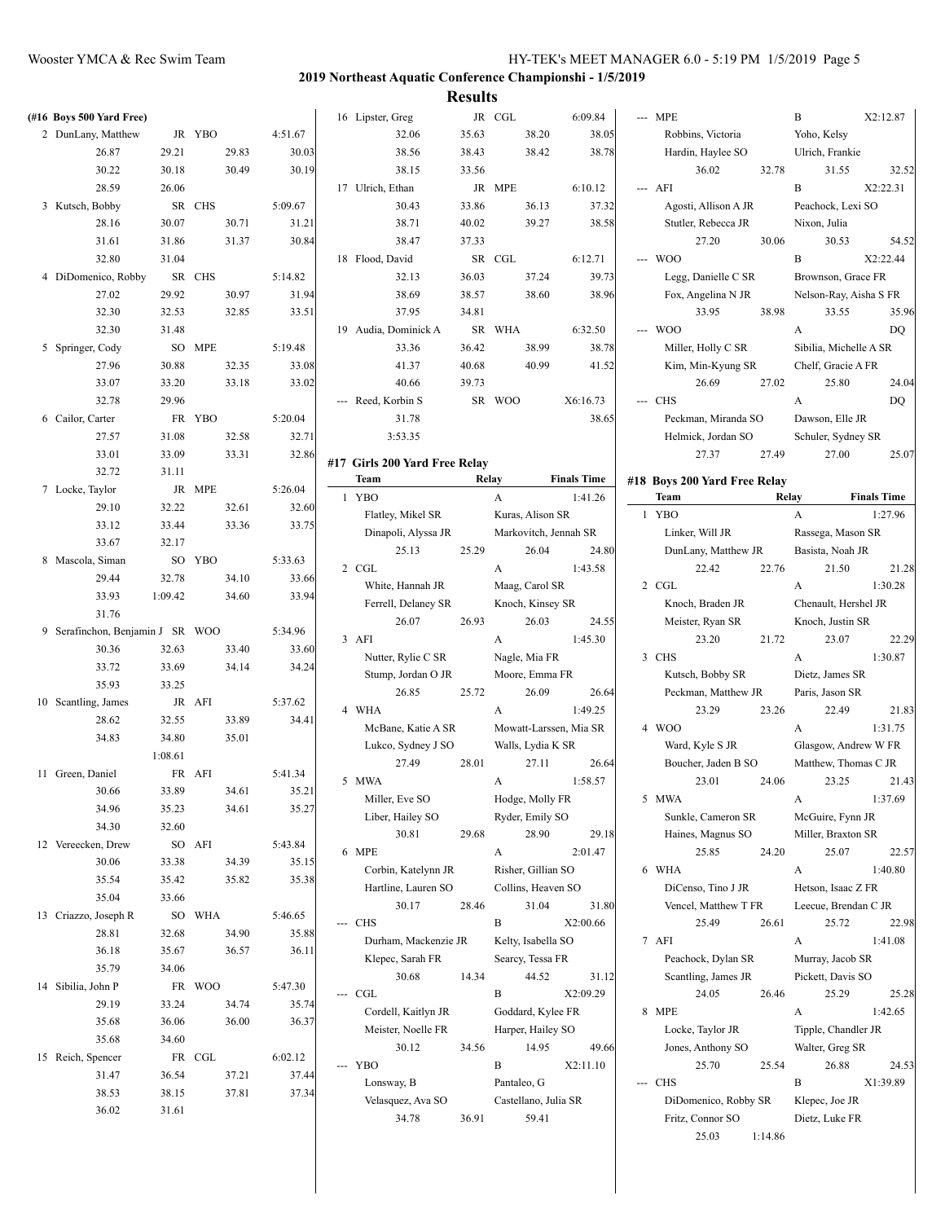| (#16 Boys 500 Yard Free)         |         |        |       |         |          | 16 Lipster, Greg              |       | JR CGL      |                      | 6:09.84                | --- MPE                      |         | B                      | X2:12.87           |
|----------------------------------|---------|--------|-------|---------|----------|-------------------------------|-------|-------------|----------------------|------------------------|------------------------------|---------|------------------------|--------------------|
| 2 DunLany, Matthew               |         | JR YBO |       | 4:51.67 |          | 32.06                         | 35.63 |             | 38.20                | 38.05                  | Robbins, Victoria            |         | Yoho, Kelsy            |                    |
| 26.87                            | 29.21   |        | 29.83 | 30.03   |          | 38.56                         | 38.43 |             | 38.42                | 38.78                  | Hardin, Haylee SO            |         | Ulrich, Frankie        |                    |
| 30.22                            | 30.18   |        | 30.49 | 30.19   |          | 38.15                         | 33.56 |             |                      |                        | 36.02                        | 32.78   | 31.55                  | 32.52              |
| 28.59                            | 26.06   |        |       |         |          | 17 Ulrich, Ethan              |       | JR MPE      |                      | 6:10.12                | --- AFI                      |         | $\mathbf B$            | X2:22.31           |
| 3 Kutsch, Bobby                  |         | SR CHS |       | 5:09.67 |          | 30.43                         | 33.86 |             | 36.13                | 37.32                  | Agosti, Allison A JR         |         | Peachock, Lexi SO      |                    |
| 28.16                            | 30.07   |        | 30.71 | 31.21   |          | 38.71                         | 40.02 |             | 39.27                | 38.58                  | Stutler, Rebecca JR          |         | Nixon, Julia           |                    |
| 31.61                            | 31.86   |        | 31.37 | 30.84   |          | 38.47                         | 37.33 |             |                      |                        | 27.20                        | 30.06   | 30.53                  | 54.52              |
| 32.80                            | 31.04   |        |       |         |          | 18 Flood, David               |       | SR CGL      |                      | 6:12.71                | --- WOO                      |         | B                      | X2:22.44           |
| 4 DiDomenico, Robby              |         | SR CHS |       | 5:14.82 |          | 32.13                         | 36.03 |             | 37.24                | 39.73                  | Legg, Danielle C SR          |         | Brownson, Grace FR     |                    |
| 27.02                            | 29.92   |        | 30.97 | 31.94   |          | 38.69                         | 38.57 |             | 38.60                | 38.96                  | Fox, Angelina N JR           |         | Nelson-Ray, Aisha S FR |                    |
| 32.30                            | 32.53   |        | 32.85 | 33.51   |          | 37.95                         | 34.81 |             |                      |                        | 33.95                        | 38.98   | 33.55                  | 35.96              |
| 32.30                            | 31.48   |        |       |         |          | 19 Audia, Dominick A          |       | SR WHA      |                      | 6:32.50                | --- WOO                      |         | A                      | DQ                 |
| 5 Springer, Cody                 |         | SO MPE |       | 5:19.48 |          | 33.36                         | 36.42 |             | 38.99                | 38.78                  | Miller, Holly C SR           |         | Sibilia, Michelle A SR |                    |
|                                  |         |        |       |         |          |                               |       |             | 40.99                |                        |                              |         |                        |                    |
| 27.96                            | 30.88   |        | 32.35 | 33.08   |          | 41.37                         | 40.68 |             |                      | 41.52                  | Kim, Min-Kyung SR            |         | Chelf, Gracie A FR     |                    |
| 33.07                            | 33.20   |        | 33.18 | 33.02   |          | 40.66                         | 39.73 |             |                      |                        | 26.69                        | 27.02   | 25.80                  | 24.04              |
| 32.78                            | 29.96   |        |       |         |          | --- Reed, Korbin S            |       | SR WOO      |                      | X6:16.73               | --- CHS                      |         | A                      | DQ                 |
| 6 Cailor, Carter                 |         | FR YBO |       | 5:20.04 |          | 31.78                         |       |             |                      | 38.65                  | Peckman, Miranda SO          |         | Dawson, Elle JR        |                    |
| 27.57                            | 31.08   |        | 32.58 | 32.71   |          | 3:53.35                       |       |             |                      |                        | Helmick, Jordan SO           |         | Schuler, Sydney SR     |                    |
| 33.01                            | 33.09   |        | 33.31 | 32.86   |          | #17 Girls 200 Yard Free Relay |       |             |                      |                        | 27.37                        | 27.49   | 27.00                  | 25.07              |
| 32.72                            | 31.11   |        |       |         |          | Team                          |       | Relay       |                      | <b>Finals Time</b>     | #18 Boys 200 Yard Free Relay |         |                        |                    |
| 7 Locke, Taylor                  |         | JR MPE |       | 5:26.04 |          | 1 YBO                         |       | A           |                      | 1:41.26                | Team                         |         | Relay                  | <b>Finals Time</b> |
| 29.10                            | 32.22   |        | 32.61 | 32.60   |          | Flatley, Mikel SR             |       |             | Kuras, Alison SR     |                        | 1 YBO                        |         | A                      | 1:27.96            |
| 33.12                            | 33.44   |        | 33.36 | 33.75   |          | Dinapoli, Alyssa JR           |       |             |                      | Markovitch, Jennah SR  | Linker, Will JR              |         | Rassega, Mason SR      |                    |
| 33.67                            | 32.17   |        |       |         |          | 25.13                         | 25.29 |             | 26.04                | 24.80                  | DunLany, Matthew JR          |         | Basista, Noah JR       |                    |
| 8 Mascola, Siman                 |         | SO YBO |       | 5:33.63 |          | $2\;$ CGL                     |       | A           |                      | 1:43.58                | 22.42                        | 22.76   | 21.50                  | 21.28              |
| 29.44                            | 32.78   |        | 34.10 | 33.66   |          | White, Hannah JR              |       |             | Maag, Carol SR       |                        | 2 CGL                        |         | A                      | 1:30.28            |
| 33.93                            | 1:09.42 |        | 34.60 | 33.94   |          | Ferrell, Delaney SR           |       |             | Knoch, Kinsey SR     |                        | Knoch, Braden JR             |         | Chenault, Hershel JR   |                    |
| 31.76                            |         |        |       |         |          | 26.07                         | 26.93 |             | 26.03                | 24.55                  | Meister, Ryan SR             |         | Knoch, Justin SR       |                    |
| 9 Serafinchon, Benjamin J SR WOO |         |        |       | 5:34.96 |          | 3 AFI                         |       | A           |                      | 1:45.30                | 23.20                        | 21.72   | 23.07                  | 22.29              |
| 30.36                            | 32.63   |        | 33.40 | 33.60   |          | Nutter, Rylie C SR            |       |             | Nagle, Mia FR        |                        | 3 CHS                        |         | A                      | 1:30.87            |
| 33.72                            | 33.69   |        | 34.14 | 34.24   |          | Stump, Jordan O JR            |       |             | Moore, Emma FR       |                        | Kutsch, Bobby SR             |         | Dietz, James SR        |                    |
| 35.93                            | 33.25   |        |       |         |          | 26.85                         | 25.72 |             | 26.09                | 26.64                  | Peckman, Matthew JR          |         | Paris, Jason SR        |                    |
| 10 Scantling, James              |         | JR AFI |       | 5:37.62 |          | 4 WHA                         |       | A           |                      | 1:49.25                | 23.29                        | 23.26   | 22.49                  | 21.83              |
| 28.62                            | 32.55   |        | 33.89 | 34.41   |          | McBane, Katie A SR            |       |             |                      | Mowatt-Larssen, Mia SR | 4 WOO                        |         | A                      | 1:31.75            |
| 34.83                            | 34.80   |        | 35.01 |         |          | Lukco, Sydney J SO            |       |             | Walls, Lydia K SR    |                        | Ward, Kyle S JR              |         | Glasgow, Andrew W FR   |                    |
|                                  | 1:08.61 |        |       |         |          | 27.49                         | 28.01 |             | 27.11                | 26.64                  | Boucher, Jaden B SO          |         | Matthew, Thomas C JR   |                    |
| 11 Green, Daniel                 |         | FR AFI |       | 5:41.34 |          | 5 MWA                         |       | A           |                      | 1:58.57                | 23.01                        | 24.06   | 23.25                  | 21.43              |
| 30.66                            | 33.89   |        | 34.61 | 35.21   |          |                               |       |             | Hodge, Molly FR      |                        | 5 MWA                        |         | $\mathbf{A}$           | 1:37.69            |
| 34.96                            | 35.23   |        | 34.61 | 35.27   |          | Miller, Eve SO                |       |             |                      |                        |                              |         |                        |                    |
| 34.30                            | 32.60   |        |       |         |          | Liber, Hailey SO              |       |             | Ryder, Emily SO      |                        | Sunkle, Cameron SR           |         | McGuire, Fynn JR       |                    |
| 12 Vereecken, Drew               |         | SO AFI |       | 5:43.84 |          | 30.81                         | 29.68 |             | 28.90                | 29.18                  | Haines, Magnus SO            |         | Miller, Braxton SR     |                    |
| 30.06                            | 33.38   |        | 34.39 | 35.15   |          | 6 MPE                         |       | A           |                      | 2:01.47                | 25.85                        | 24.20   | 25.07                  | 22.57              |
| 35.54                            | 35.42   |        | 35.82 | 35.38   |          | Corbin, Katelynn JR           |       |             | Risher, Gillian SO   |                        | 6 WHA                        |         | A                      | 1:40.80            |
| 35.04                            | 33.66   |        |       |         |          | Hartline, Lauren SO           |       |             | Collins, Heaven SO   |                        | DiCenso, Tino J JR           |         | Hetson, Isaac Z FR     |                    |
| 13 Criazzo, Joseph R             |         | SO WHA |       | 5:46.65 |          | 30.17                         | 28.46 |             | 31.04                | 31.80                  | Vencel, Matthew T FR         |         | Leecue, Brendan C JR   |                    |
| 28.81                            | 32.68   |        | 34.90 | 35.88   | $\cdots$ | <b>CHS</b>                    |       | B           |                      | X2:00.66               | 25.49                        | 26.61   | 25.72                  | 22.98              |
| 36.18                            | 35.67   |        | 36.57 | 36.11   |          | Durham, Mackenzie JR          |       |             | Kelty, Isabella SO   |                        | 7 AFI                        |         | A                      | 1:41.08            |
| 35.79                            | 34.06   |        |       |         |          | Klepec, Sarah FR              |       |             | Searcy, Tessa FR     |                        | Peachock, Dylan SR           |         | Murray, Jacob SR       |                    |
| 14 Sibilia, John P               |         | FR WOO |       | 5:47.30 |          | 30.68                         | 14.34 |             | 44.52                | 31.12                  | Scantling, James JR          |         | Pickett, Davis SO      |                    |
| 29.19                            | 33.24   |        | 34.74 | 35.74   | ---      | CGL                           |       | B           |                      | X2:09.29               | 24.05                        | 26.46   | 25.29                  | 25.28              |
| 35.68                            | 36.06   |        | 36.00 | 36.37   |          | Cordell, Kaitlyn JR           |       |             | Goddard, Kylee FR    |                        | 8 MPE                        |         | A                      | 1:42.65            |
| 35.68                            | 34.60   |        |       |         |          | Meister, Noelle FR            |       |             | Harper, Hailey SO    |                        | Locke, Taylor JR             |         | Tipple, Chandler JR    |                    |
|                                  |         |        |       |         |          | 30.12                         | 34.56 |             | 14.95                | 49.66                  | Jones, Anthony SO            |         | Walter, Greg SR        |                    |
| 15 Reich, Spencer                |         | FR CGL |       | 6:02.12 |          | --- YBO                       |       | B           |                      | X2:11.10               | 25.70                        | 25.54   | 26.88                  | 24.53              |
| 31.47                            | 36.54   |        | 37.21 | 37.44   |          | Lonsway, B                    |       | Pantaleo, G |                      |                        | --- CHS                      |         | B                      | X1:39.89           |
| 38.53                            | 38.15   |        | 37.81 | 37.34   |          | Velasquez, Ava SO             |       |             | Castellano, Julia SR |                        | DiDomenico, Robby SR         |         | Klepec, Joe JR         |                    |
| 36.02                            | 31.61   |        |       |         |          | 34.78                         | 36.91 |             | 59.41                |                        | Fritz, Connor SO             |         | Dietz, Luke FR         |                    |
|                                  |         |        |       |         |          |                               |       |             |                      |                        | 25.03                        | 1:14.86 |                        |                    |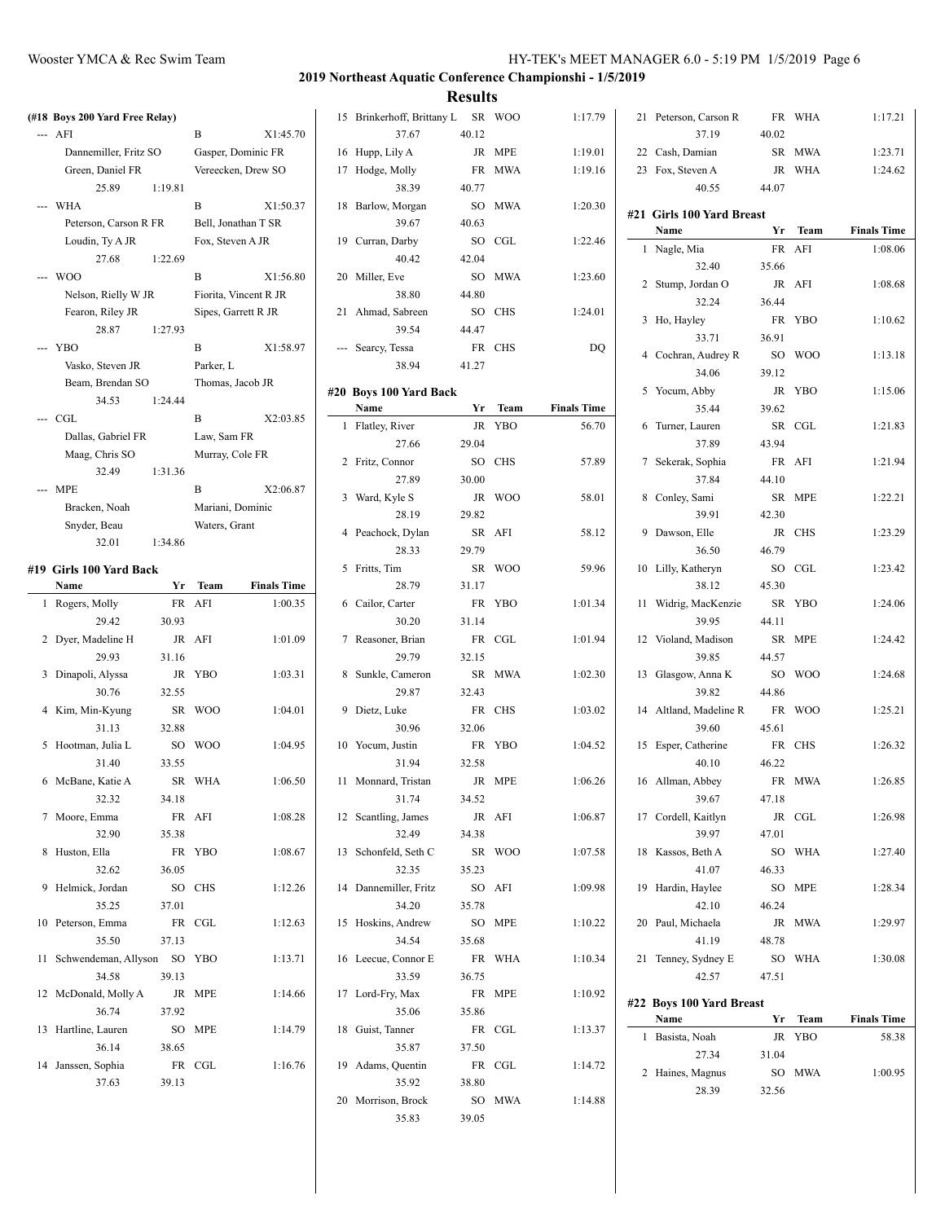#### Wooster YMCA & Rec Swim Team **HY-TEK's MEET MANAGER 6.0 - 5:19 PM** 1/5/2019 Page 6

21 Peterson, Carson R FR WHA 1:17.21

#### **2019 Northeast Aquatic Conference Championshi - 1/5/2019 Results**

**(#18 Boys 200 Yard Free Relay)** -- AFI B X1:45.70 Dannemiller, Fritz SO Gasper, Dominic FR Green, Daniel FR Vereecken, Drew SO 25.89 1:19.81 --- WHA B X1:50.37 Peterson, Carson R FR Bell, Jonathan T SR Loudin, Ty A JR Fox, Steven A JR 27.68 1:22.69 --- WOO B X1:56.80 Nelson, Rielly W JR Fiorita, Vincent R JR Fearon, Riley JR Sipes, Garrett R JR 28.87 1:27.93 --- YBO B X1:58.97 Vasko, Steven JR Parker, L Beam, Brendan SO Thomas, Jacob JR 34.53 1:24.44 --- CGL B X2:03.85 Dallas, Gabriel FR Law, Sam FR Maag, Chris SO Murray, Cole FR 32.49 1:31.36 --- MPE B X2:06.87 Bracken, Noah Mariani, Dominic Snyder, Beau Waters, Grant 32.01 1:34.86 **#19 Girls 100 Yard Back Name Yr Team Finals Time** 1 Rogers, Molly FR AFI 1:00.35 29.42 30.93 2 Dyer, Madeline H JR AFI 1:01.09 29.93 31.16

3 Dinapoli, Alyssa JR YBO 1:03.31

4 Kim, Min-Kyung SR WOO 1:04.01

5 Hootman, Julia L SO WOO 1:04.95

6 McBane, Katie A SR WHA 1:06.50

7 Moore, Emma FR AFI 1:08.28

8 Huston, Ella FR YBO 1:08.67

9 Helmick, Jordan SO CHS 1:12.26

10 Peterson, Emma FR CGL 1:12.63

11 Schwendeman, Allyson SO YBO 1:13.71

12 McDonald, Molly A JR MPE 1:14.66

13 Hartline, Lauren SO MPE 1:14.79

14 Janssen, Sophia FR CGL 1:16.76

30.76 32.55

31.13 32.88

31.40 33.55

32.32 34.18

32.90 35.38

32.62 36.05

35.25 37.01

35.50 37.13

34.58 39.13

36.74 37.92

36.14 38.65

37.63 39.13

| 15 | Brinkerhoff, Brittany L<br>37.67 | SR<br>40.12     | <b>WOO</b> | 1:17.79            |
|----|----------------------------------|-----------------|------------|--------------------|
|    |                                  |                 |            |                    |
| 16 | Hupp, Lily A                     | JR              | MPE        | 1:19.01            |
| 17 | Hodge, Molly<br>38.39            | FR<br>40.77     | <b>MWA</b> | 1:19.16            |
| 18 | Barlow, Morgan                   | SO              | <b>MWA</b> | 1:20.30            |
|    | 39.67                            | 40.63           |            |                    |
| 19 | Curran, Darby                    | SO              | CGL        | 1:22.46            |
|    | 40.42                            | 42.04           |            |                    |
| 20 | Miller, Eve                      | SO              | <b>MWA</b> | 1:23.60            |
|    | 38.80                            | 44.80           |            |                    |
| 21 | Ahmad, Sabreen                   | SO <sub>1</sub> | <b>CHS</b> | 1:24.01            |
|    | 39.54                            | 44.47           |            |                    |
|    | Searcy, Tessa                    | FR              | <b>CHS</b> | DQ                 |
|    | 38.94                            | 41.27           |            |                    |
|    | #20 Boys 100 Yard Back           |                 |            |                    |
|    | Name                             | Yr              | Team       | <b>Finals Time</b> |
| 1  | Flatley, River                   | JR              | <b>YBO</b> | 56.70              |
|    | 27.66                            | 29.04           |            |                    |
| 2  | Fritz, Connor                    | SO              | <b>CHS</b> | 57.89              |
|    | 27.89                            | 30.00           |            |                    |
| 3  | Ward, Kyle S                     | JR              | <b>WOO</b> | 58.01              |
|    | 28.19                            | 29.82           |            |                    |
| 4  | Peachock, Dylan                  | SR              | AFI        | 58.12              |
|    | 28.33                            | 29.79           |            |                    |
| 5  | Fritts, Tim                      | SR              | <b>WOO</b> | 59.96              |
|    | 28.79                            | 31.17           |            |                    |
| 6  | Cailor, Carter                   | FR              | <b>YBO</b> | 1:01.34            |
|    | 30.20                            | 31.14           |            |                    |
| 7  | Reasoner, Brian                  | FR              | CGL        | 1:01.94            |
|    | 29.79                            | 32.15           |            |                    |
| 8  | Sunkle, Cameron                  | SR              | <b>MWA</b> | 1:02.30            |
|    | 29.87                            | 32.43           |            |                    |
| 9  | Dietz, Luke                      | FR              | <b>CHS</b> | 1:03.02            |
|    | 30.96                            | 32.06           |            |                    |
| 10 | Yocum, Justin                    | FR              | <b>YBO</b> | 1:04.52            |
|    | 31.94                            | 32.58           |            |                    |
| 11 | Monnard, Tristan                 | JR              | <b>MPE</b> | 1:06.26            |
|    | 31.74                            | 34.52           |            |                    |
| 12 | Scantling, James                 | JR              | AFI        | 1:06.87            |
|    | 32.49                            | 34.38           |            |                    |
| 13 | Schonfeld, Seth C                | SR              | <b>WOO</b> | 1:07.58            |
|    | 32.35                            | 35.23           |            |                    |
| 14 | Dannemiller, Fritz               | SO.             | AFI        | 1:09.98            |
|    | 34.20                            | 35.78           |            |                    |
| 15 | Hoskins, Andrew                  | SO              | MPE        | 1:10.22            |
|    | 34.54                            | 35.68           |            |                    |
| 16 | Leecue, Connor E                 | <b>FR</b>       | WHA        | 1:10.34            |
|    | 33.59                            | 36.75           |            |                    |
| 17 | Lord-Fry, Max                    | FR              | MPE        | 1:10.92            |
|    | 35.06                            | 35.86           |            |                    |
| 18 | Guist, Tanner                    |                 | FR CGL     | 1:13.37            |
|    | 35.87                            | 37.50           |            |                    |
|    | 19 Adams, Quentin                |                 | FR CGL     | 1:14.72            |
|    | 35.92                            | 38.80           |            |                    |
|    | 20 Morrison, Brock               |                 | SO MWA     | 1:14.88            |
|    | 35.83                            | 39.05           |            |                    |
|    |                                  |                 |            |                    |

|    | 37.19                     | 40.02           |             |                    |
|----|---------------------------|-----------------|-------------|--------------------|
|    | 22 Cash, Damian           | SR              | <b>MWA</b>  | 1:23.71            |
|    | 23 Fox, Steven A          | JR              | <b>WHA</b>  | 1:24.62            |
|    | 40.55                     | 44.07           |             |                    |
|    | #21 Girls 100 Yard Breast |                 |             |                    |
|    | Name                      | Yr              | <b>Team</b> | <b>Finals Time</b> |
| 1  | Nagle, Mia                | FR              | AFI         | 1:08.06            |
|    | 32.40                     | 35.66           |             |                    |
| 2  | Stump, Jordan O           | JR              | AFI         | 1:08.68            |
|    | 32.24                     | 36.44           |             |                    |
| 3  | Ho, Hayley                | FR              | YBO         | 1:10.62            |
|    | 33.71                     | 36.91           |             |                    |
| 4  | Cochran, Audrey R         | SO              | <b>WOO</b>  | 1:13.18            |
|    | 34.06                     | 39.12           |             |                    |
| 5  | Yocum, Abby               | JR              | <b>YBO</b>  | 1:15.06            |
|    | 35.44                     | 39.62           |             |                    |
| 6  | Turner, Lauren            | SR              | CGL         | 1:21.83            |
|    | 37.89                     | 43.94           |             |                    |
| 7  | Sekerak, Sophia           | FR              | AFI         | 1:21.94            |
|    | 37.84                     | 44.10           |             |                    |
|    |                           | SR              | <b>MPE</b>  | 1:22.21            |
|    | 8 Conley, Sami<br>39.91   | 42.30           |             |                    |
| 9  |                           | JR              |             |                    |
|    | Dawson, Elle              | 46.79           | <b>CHS</b>  | 1:23.29            |
|    | 36.50                     |                 |             |                    |
| 10 | Lilly, Katheryn           | SO              | CGL         | 1:23.42            |
|    | 38.12                     | 45.30           |             |                    |
| 11 | Widrig, MacKenzie         | SR              | <b>YBO</b>  | 1:24.06            |
|    | 39.95                     | 44.11           |             |                    |
|    | 12 Violand, Madison       | SR              | MPE         | 1:24.42            |
|    | 39.85                     | 44.57           |             |                    |
| 13 | Glasgow, Anna K           | SO <sub>1</sub> | <b>WOO</b>  | 1:24.68            |
|    | 39.82                     | 44.86           |             |                    |
|    | 14 Altland, Madeline R    | FR              | <b>WOO</b>  | 1:25.21            |
|    | 39.60                     | 45.61           |             |                    |
| 15 | Esper, Catherine          | FR              | <b>CHS</b>  | 1:26.32            |
|    | 40.10                     | 46.22           |             |                    |
|    | 16 Allman, Abbey          | ${\rm FR}$      | <b>MWA</b>  | 1:26.85            |
|    | 39.67                     | 47.18           |             |                    |
|    | 17 Cordell, Kaitlyn       |                 | JR CGL      | 1:26.98            |
|    | 39.97                     | 47.01           |             |                    |
| 18 | Kassos, Beth A            | SO              | <b>WHA</b>  | 1:27.40            |
|    | 41.07                     | 46.33           |             |                    |
| 19 | Hardin, Haylee            | SO              | <b>MPE</b>  | 1:28.34            |
|    | 42.10                     | 46.24           |             |                    |
| 20 | Paul, Michaela            | JR              | <b>MWA</b>  | 1:29.97            |
|    | 41.19                     | 48.78           |             |                    |
| 21 | Tenney, Sydney E          | SO              | WHA         | 1:30.08            |
|    | 42.57                     | 47.51           |             |                    |
|    | #22 Boys 100 Yard Breast  |                 |             |                    |
|    | Name                      | Yr              | Team        | <b>Finals Time</b> |
| 1  | Basista, Noah             | JR              | YBO         | 58.38              |
|    | 27.34                     | 31.04           |             |                    |
| 2  | Haines, Magnus            | SO              | <b>MWA</b>  | 1:00.95            |
|    | 28.39                     | 32.56           |             |                    |
|    |                           |                 |             |                    |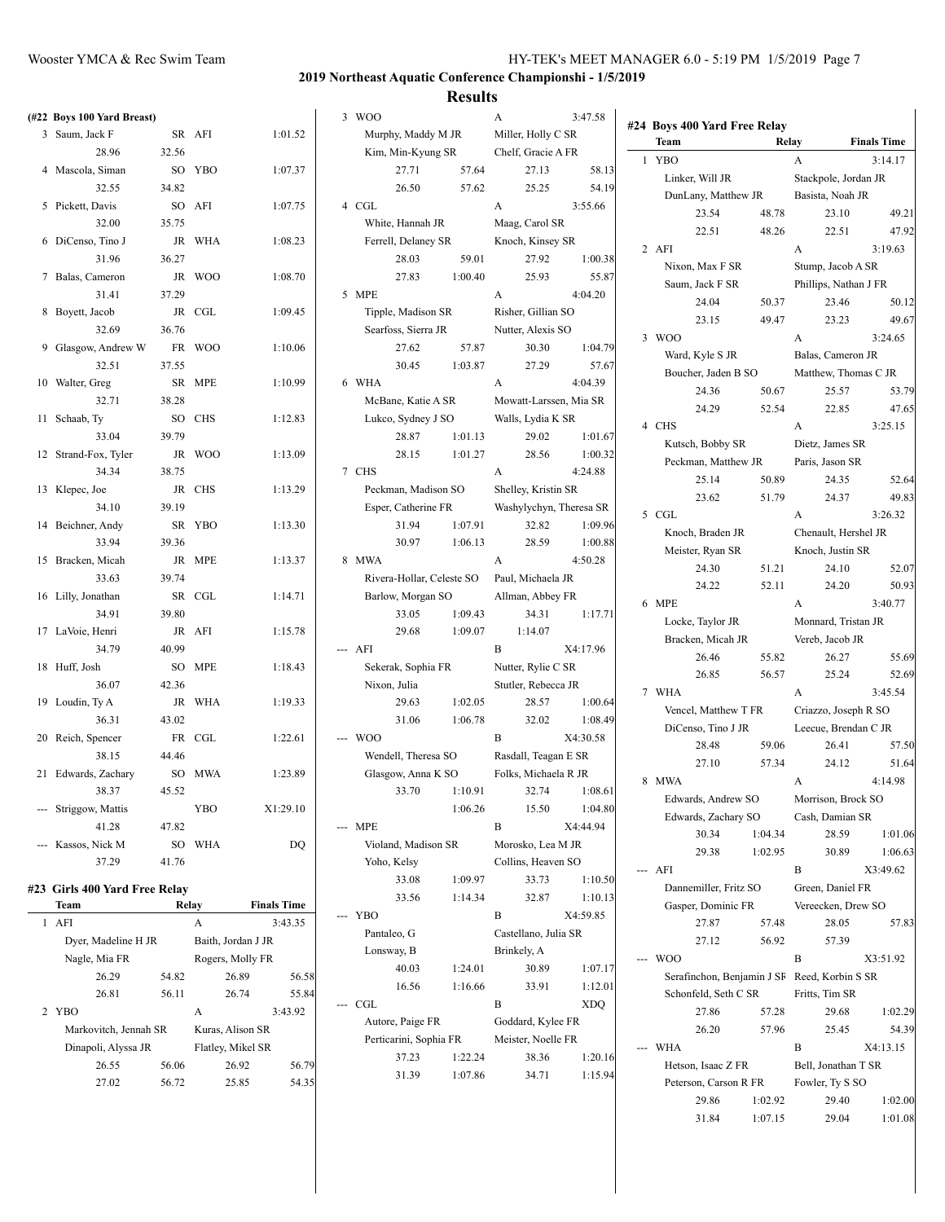|    | (#22 Boys 100 Yard Breast)    |       |                    |                    |
|----|-------------------------------|-------|--------------------|--------------------|
| 3  | Saum, Jack F                  | SR    | AFI                | 1:01.52            |
|    | 28.96                         | 32.56 |                    |                    |
| 4  | Mascola, Siman                | SO    | YBO                | 1:07.37            |
|    | 32.55                         | 34.82 |                    |                    |
| 5  | Pickett, Davis                | SO    | AFI                | 1:07.75            |
|    | 32.00                         | 35.75 |                    |                    |
| 6  | DiCenso, Tino J               | JR    | WHA                | 1:08.23            |
|    | 31.96                         | 36.27 |                    |                    |
| 7  | Balas, Cameron                | JR    | <b>WOO</b>         | 1:08.70            |
|    | 31.41                         | 37.29 |                    |                    |
| 8  | Boyett, Jacob                 | JR    | CGL                | 1:09.45            |
|    | 32.69                         | 36.76 |                    |                    |
| 9  | Glasgow, Andrew W             | FR    | <b>WOO</b>         | 1:10.06            |
|    | 32.51                         | 37.55 |                    |                    |
| 10 |                               | SR    | MPE                | 1:10.99            |
|    | Walter, Greg<br>32.71         | 38.28 |                    |                    |
|    |                               | SO    |                    | 1:12.83            |
| 11 | Schaab, Ty<br>33.04           |       | CHS                |                    |
|    |                               | 39.79 |                    | 1:13.09            |
| 12 | Strand-Fox, Tyler             | JR    | <b>WOO</b>         |                    |
|    | 34.34                         | 38.75 |                    |                    |
| 13 | Klepec, Joe                   | JR    | <b>CHS</b>         | 1:13.29            |
|    | 34.10                         | 39.19 |                    |                    |
| 14 | Beichner, Andy                | SR    | YBO                | 1:13.30            |
|    | 33.94                         | 39.36 |                    |                    |
| 15 | Bracken, Micah                | JR    | <b>MPE</b>         | 1:13.37            |
|    | 33.63                         | 39.74 |                    |                    |
| 16 | Lilly, Jonathan               | SR    | CGL                | 1:14.71            |
|    | 34.91                         | 39.80 |                    |                    |
| 17 | LaVoie, Henri                 | JR    | AFI                | 1:15.78            |
|    | 34.79                         | 40.99 |                    |                    |
| 18 | Huff, Josh                    | SO    | MPE                | 1:18.43            |
|    | 36.07                         | 42.36 |                    |                    |
| 19 | Loudin, Ty A                  | JR    | WHA                | 1:19.33            |
|    | 36.31                         | 43.02 |                    |                    |
| 20 | Reich, Spencer                | FR    | CGL                | 1:22.61            |
|    | 38.15                         | 44.46 |                    |                    |
| 21 | Edwards, Zachary              | SO    | MWA                | 1:23.89            |
|    | 38.37                         | 45.52 |                    |                    |
|    | --- Striggow, Mattis          |       | YBO                | X1:29.10           |
|    | 41.28                         | 47.82 |                    |                    |
|    | --- Kassos, Nick M            | SО    | WHA                | DQ                 |
|    | 37.29                         | 41.76 |                    |                    |
|    | #23 Girls 400 Yard Free Relay |       |                    |                    |
|    | Team                          |       | Relay              | <b>Finals Time</b> |
| 1  | AFI                           |       | A                  | 3:43.35            |
|    | Dyer, Madeline H JR           |       | Baith, Jordan J JR |                    |
|    |                               |       |                    |                    |

|                | 3 Girls 400 Yard Free Relay |       |                    |                    |
|----------------|-----------------------------|-------|--------------------|--------------------|
|                | <b>Team</b>                 |       | Relay              | <b>Finals Time</b> |
| 1              | AFI                         |       | А                  | 3:43.35            |
|                | Dyer, Madeline H JR         |       | Baith, Jordan J JR |                    |
|                | Nagle, Mia FR               |       | Rogers, Molly FR   |                    |
|                | 26.29                       | 54.82 | 26.89              | 56.58              |
|                | 26.81                       | 56.11 | 26.74              | 55.84              |
| $\overline{2}$ | <b>YBO</b>                  |       | A                  | 3:43.92            |
|                | Markovitch, Jennah SR       |       | Kuras, Alison SR   |                    |
|                | Dinapoli, Alyssa JR         |       | Flatley, Mikel SR  |                    |
|                | 26.55                       | 56.06 | 26.92              | 56.79              |
|                | 27.02                       | 56.72 | 25.85              | 54.35              |
|                |                             |       |                    |                    |

| 3              |                           |                    |                         |                     |   |
|----------------|---------------------------|--------------------|-------------------------|---------------------|---|
|                | <b>WOO</b>                |                    | А                       | 3:47.58             |   |
|                | Murphy, Maddy M JR        |                    | Miller, Holly C SR      |                     | # |
|                | Kim, Min-Kyung SR         |                    | Chelf, Gracie A FR      |                     |   |
|                | 27.71                     | 57.64              | 27.13                   | 58.13               |   |
|                | 26.50                     | 57.62              | 25.25                   | 54.19               |   |
| $\overline{4}$ | CGL                       |                    | A                       | 3:55.66             |   |
|                | White, Hannah JR          |                    | Maag, Carol SR          |                     |   |
|                | Ferrell, Delaney SR       |                    | Knoch, Kinsey SR        |                     |   |
|                | 28.03                     | 59.01              | 27.92                   | 1:00.38             |   |
|                | 27.83                     | 1:00.40            | 25.93                   | 55.87               |   |
| 5              | <b>MPE</b>                |                    | A                       | 4:04.20             |   |
|                | Tipple, Madison SR        |                    | Risher, Gillian SO      |                     |   |
|                | Searfoss, Sierra JR       |                    | Nutter, Alexis SO       |                     |   |
|                | 27.62                     | 57.87              | 30.30                   | 1:04.79             |   |
|                | 30.45                     | 1:03.87            | 27.29                   | 57.67               |   |
| 6              | <b>WHA</b>                |                    | A                       | 4:04.39             |   |
|                | McBane, Katie A SR        |                    | Mowatt-Larssen, Mia SR  |                     |   |
|                | Lukco, Sydney J SO        |                    | Walls, Lydia K SR       |                     |   |
|                | 28.87                     | 1:01.13            | 29.02                   | 1:01.67             |   |
|                | 28.15                     | 1:01.27            | 28.56                   | 1:00.32             |   |
| 7              | <b>CHS</b>                |                    | A                       | 4:24.88             |   |
|                | Peckman, Madison SO       |                    | Shelley, Kristin SR     |                     |   |
|                | Esper, Catherine FR       |                    | Washylychyn, Theresa SR |                     |   |
|                | 31.94                     | 1:07.91            | 32.82                   | 1:09.96             |   |
|                | 30.97                     | 1:06.13            | 28.59                   | 1:00.88             |   |
| 8              | <b>MWA</b>                |                    | A                       | 4:50.28             |   |
|                | Rivera-Hollar, Celeste SO |                    | Paul, Michaela JR       |                     |   |
|                | Barlow, Morgan SO         |                    | Allman, Abbey FR        |                     |   |
|                | 33.05                     | 1:09.43            | 34.31                   | 1:17.71             |   |
|                | 29.68                     | 1:09.07            | 1:14.07<br>B            | X4:17.96            |   |
|                |                           |                    |                         |                     |   |
|                | AFI                       |                    |                         |                     |   |
|                | Sekerak, Sophia FR        |                    | Nutter, Rylie C SR      |                     |   |
|                | Nixon, Julia              |                    | Stutler, Rebecca JR     |                     |   |
|                | 29.63                     | 1:02.05            | 28.57                   | 1:00.64             |   |
|                | 31.06                     | 1:06.78            | 32.02                   | 1:08.49             |   |
|                | <b>WOO</b>                |                    | В                       | X4:30.58            |   |
|                | Wendell, Theresa SO       |                    | Rasdall, Teagan E SR    |                     |   |
|                | Glasgow, Anna K SO        | 33.70 1:10.91      | Folks, Michaela R JR    |                     |   |
|                |                           | 1:06.26            |                         | 32.74 1:08.61       |   |
|                | <b>MPE</b>                |                    | 15.50<br>B              | 1:04.80<br>X4:44.94 |   |
|                | Violand, Madison SR       |                    | Morosko, Lea M JR       |                     |   |
|                | Yoho, Kelsy               |                    | Collins, Heaven SO      |                     |   |
|                | 33.08                     | 1:09.97            | 33.73                   | 1:10.50             |   |
|                | 33.56                     | 1:14.34            | 32.87                   | 1:10.13             |   |
|                | YBO                       |                    | В                       | X4:59.85            |   |
|                | Pantaleo, G               |                    | Castellano, Julia SR    |                     |   |
|                | Lonsway, B                |                    | Brinkely, A             |                     |   |
|                | 40.03                     | 1:24.01            | 30.89                   | 1:07.17             |   |
|                | 16.56                     | 1:16.66            | 33.91                   | 1:12.01             |   |
|                | CGL                       |                    | B                       | <b>XDQ</b>          |   |
|                | Autore, Paige FR          |                    | Goddard, Kylee FR       |                     |   |
|                | Perticarini, Sophia FR    |                    | Meister, Noelle FR      |                     |   |
|                | 37.23<br>31.39            | 1:22.24<br>1:07.86 | 38.36<br>34.71          | 1:20.16<br>1:15.94  |   |

|       | #24 Boys 400 Yard Free Relay<br>Team |                      | Relay                 | <b>Finals Time</b>   |  |
|-------|--------------------------------------|----------------------|-----------------------|----------------------|--|
| 1     | <b>YBO</b>                           |                      | A                     | 3:14.17              |  |
|       | Linker, Will JR                      |                      | Stackpole, Jordan JR  |                      |  |
|       | DunLany, Matthew JR                  |                      | Basista, Noah JR      |                      |  |
|       | 23.54                                | 48.78                | 23.10                 | 49.21                |  |
|       | 22.51                                | 48.26                | 22.51                 | 47.92                |  |
|       | 2 AFI                                |                      | A                     | 3:19.63              |  |
|       | Nixon, Max F SR                      |                      | Stump, Jacob A SR     |                      |  |
|       | Saum, Jack F SR                      |                      | Phillips, Nathan J FR |                      |  |
|       | 24.04                                | 50.37                | 23.46                 | 50.12                |  |
|       | 23.15                                | 49.47                | 23.23                 | 49.67                |  |
| 3     | <b>WOO</b>                           |                      | A                     | 3:24.65              |  |
|       | Ward, Kyle S JR                      |                      | Balas, Cameron JR     |                      |  |
|       | Boucher, Jaden B SO                  |                      | Matthew, Thomas C JR  |                      |  |
|       | 24.36                                | 50.67                | 25.57                 | 53.79                |  |
|       | 24.29                                | 52.54                | 22.85                 | 47.65                |  |
|       | 4 CHS                                |                      | A                     | 3:25.15              |  |
|       | Kutsch, Bobby SR                     |                      | Dietz, James SR       |                      |  |
|       | Peckman, Matthew JR                  |                      | Paris, Jason SR       |                      |  |
|       | 25.14                                | 50.89                | 24.35                 | 52.64                |  |
|       | 23.62                                | 51.79                | 24.37                 | 49.83                |  |
| 5     | CGL                                  |                      | A                     | 3:26.32              |  |
|       | Knoch, Braden JR                     |                      | Chenault, Hershel JR  |                      |  |
|       | Meister, Ryan SR                     |                      | Knoch, Justin SR      |                      |  |
|       | 24.30                                | 51.21                | 24.10                 | 52.07                |  |
|       | 24.22                                | 52.11                | 24.20                 | 50.93                |  |
| 6     | <b>MPE</b>                           |                      | A                     | 3:40.77              |  |
|       | Locke, Taylor JR                     |                      | Monnard, Tristan JR   |                      |  |
|       | Bracken, Micah JR                    |                      | Vereb, Jacob JR       |                      |  |
|       | 26.46                                | 55.82                | 26.27                 | 55.69                |  |
|       | 26.85                                | 56.57                | 25.24                 | 52.69                |  |
| 7     | WHA                                  |                      | A                     | 3:45.54              |  |
|       |                                      | Vencel, Matthew T FR |                       | Criazzo, Joseph R SO |  |
|       | DiCenso, Tino J JR                   |                      | Leecue, Brendan C JR  |                      |  |
|       | 28.48                                | 59.06                | 26.41                 | 57.50                |  |
|       | 27.10                                | 57.34                | 24.12                 | 51.64                |  |
| 8     | <b>MWA</b>                           |                      | A                     | 4:14.98              |  |
|       | Edwards, Andrew SO                   |                      | Morrison, Brock SO    |                      |  |
|       | Edwards, Zachary SO                  |                      | Cash, Damian SR       |                      |  |
|       | 30.34                                | 1:04.34              | 28.59                 | 1:01.06              |  |
|       | 29.38                                | 1:02.95              | 30.89                 | 1:06.63              |  |
| $---$ | AFI                                  |                      | B                     | X3:49.62             |  |
|       | Dannemiller, Fritz SO                |                      | Green, Daniel FR      |                      |  |
|       | Gasper, Dominic FR                   |                      | Vereecken, Drew SO    |                      |  |
|       | 27.87                                | 57.48                | 28.05                 | 57.83                |  |
|       | 27.12                                | 56.92                | 57.39                 |                      |  |
|       | <b>WOO</b>                           |                      | B                     | X3:51.92             |  |
|       | Serafinchon, Benjamin J SF           |                      | Reed, Korbin S SR     |                      |  |
|       | Schonfeld, Seth C SR                 |                      | Fritts, Tim SR        |                      |  |
|       | 27.86                                | 57.28                | 29.68                 | 1:02.29              |  |
|       | 26.20                                | 57.96                | 25.45                 | 54.39                |  |
|       | <b>WHA</b>                           |                      | B                     | X4:13.15             |  |
|       | Hetson, Isaac Z FR                   |                      | Bell, Jonathan T SR   |                      |  |
|       | Peterson, Carson R FR                |                      | Fowler, Ty S SO       |                      |  |
|       | 29.86                                | 1:02.92              | 29.40                 | 1:02.00              |  |
|       | 31.84                                | 1:07.15              | 29.04                 | 1:01.08              |  |